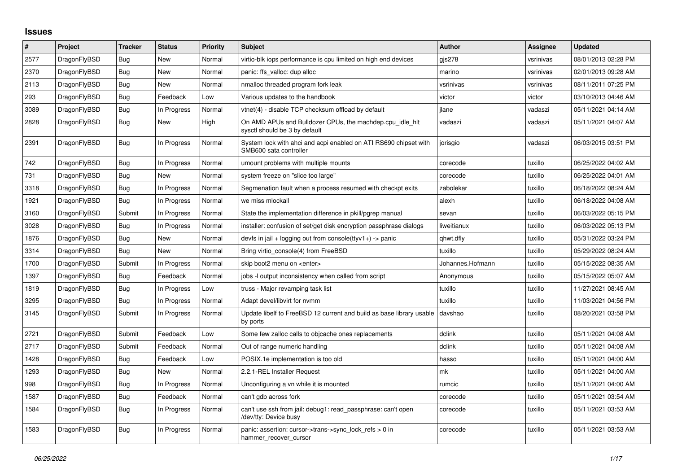## **Issues**

| $\#$ | Project      | <b>Tracker</b> | <b>Status</b> | <b>Priority</b> | <b>Subject</b>                                                                             | <b>Author</b>    | Assignee  | <b>Updated</b>      |
|------|--------------|----------------|---------------|-----------------|--------------------------------------------------------------------------------------------|------------------|-----------|---------------------|
| 2577 | DragonFlyBSD | Bug            | New           | Normal          | virtio-blk iops performance is cpu limited on high end devices                             | gjs278           | vsrinivas | 08/01/2013 02:28 PM |
| 2370 | DragonFlyBSD | <b>Bug</b>     | New           | Normal          | panic: ffs valloc: dup alloc                                                               | marino           | vsrinivas | 02/01/2013 09:28 AM |
| 2113 | DragonFlyBSD | Bug            | New           | Normal          | nmalloc threaded program fork leak                                                         | vsrinivas        | vsrinivas | 08/11/2011 07:25 PM |
| 293  | DragonFlyBSD | Bug            | Feedback      | Low             | Various updates to the handbook                                                            | victor           | victor    | 03/10/2013 04:46 AM |
| 3089 | DragonFlyBSD | Bug            | In Progress   | Normal          | vtnet(4) - disable TCP checksum offload by default                                         | ilane            | vadaszi   | 05/11/2021 04:14 AM |
| 2828 | DragonFlyBSD | Bug            | New           | High            | On AMD APUs and Bulldozer CPUs, the machdep.cpu_idle_hlt<br>sysctl should be 3 by default  | vadaszi          | vadaszi   | 05/11/2021 04:07 AM |
| 2391 | DragonFlyBSD | Bug            | In Progress   | Normal          | System lock with ahci and acpi enabled on ATI RS690 chipset with<br>SMB600 sata controller | jorisgio         | vadaszi   | 06/03/2015 03:51 PM |
| 742  | DragonFlyBSD | Bug            | In Progress   | Normal          | umount problems with multiple mounts                                                       | corecode         | tuxillo   | 06/25/2022 04:02 AM |
| 731  | DragonFlyBSD | Bug            | <b>New</b>    | Normal          | system freeze on "slice too large"                                                         | corecode         | tuxillo   | 06/25/2022 04:01 AM |
| 3318 | DragonFlyBSD | Bug            | In Progress   | Normal          | Segmenation fault when a process resumed with checkpt exits                                | zabolekar        | tuxillo   | 06/18/2022 08:24 AM |
| 1921 | DragonFlyBSD | Bug            | In Progress   | Normal          | we miss mlockall                                                                           | alexh            | tuxillo   | 06/18/2022 04:08 AM |
| 3160 | DragonFlyBSD | Submit         | In Progress   | Normal          | State the implementation difference in pkill/pgrep manual                                  | sevan            | tuxillo   | 06/03/2022 05:15 PM |
| 3028 | DragonFlyBSD | Bug            | In Progress   | Normal          | installer: confusion of set/get disk encryption passphrase dialogs                         | liweitianux      | tuxillo   | 06/03/2022 05:13 PM |
| 1876 | DragonFlyBSD | Bug            | New           | Normal          | devfs in jail + logging out from console(ttyv1+) -> panic                                  | qhwt.dfly        | tuxillo   | 05/31/2022 03:24 PM |
| 3314 | DragonFlyBSD | Bug            | New           | Normal          | Bring virtio console(4) from FreeBSD                                                       | tuxillo          | tuxillo   | 05/29/2022 08:24 AM |
| 1700 | DragonFlyBSD | Submit         | In Progress   | Normal          | skip boot2 menu on <enter></enter>                                                         | Johannes.Hofmann | tuxillo   | 05/15/2022 08:35 AM |
| 1397 | DragonFlyBSD | Bug            | Feedback      | Normal          | jobs -I output inconsistency when called from script                                       | Anonymous        | tuxillo   | 05/15/2022 05:07 AM |
| 1819 | DragonFlyBSD | Bug            | In Progress   | Low             | truss - Major revamping task list                                                          | tuxillo          | tuxillo   | 11/27/2021 08:45 AM |
| 3295 | DragonFlyBSD | Bug            | In Progress   | Normal          | Adapt devel/libvirt for nvmm                                                               | tuxillo          | tuxillo   | 11/03/2021 04:56 PM |
| 3145 | DragonFlyBSD | Submit         | In Progress   | Normal          | Update libelf to FreeBSD 12 current and build as base library usable<br>by ports           | davshao          | tuxillo   | 08/20/2021 03:58 PM |
| 2721 | DragonFlyBSD | Submit         | Feedback      | Low             | Some few zalloc calls to objcache ones replacements                                        | dclink           | tuxillo   | 05/11/2021 04:08 AM |
| 2717 | DragonFlyBSD | Submit         | Feedback      | Normal          | Out of range numeric handling                                                              | dclink           | tuxillo   | 05/11/2021 04:08 AM |
| 1428 | DragonFlyBSD | Bug            | Feedback      | Low             | POSIX.1e implementation is too old                                                         | hasso            | tuxillo   | 05/11/2021 04:00 AM |
| 1293 | DragonFlyBSD | Bug            | New           | Normal          | 2.2.1-REL Installer Request                                                                | mk               | tuxillo   | 05/11/2021 04:00 AM |
| 998  | DragonFlyBSD | Bug            | In Progress   | Normal          | Unconfiguring a vn while it is mounted                                                     | rumcic           | tuxillo   | 05/11/2021 04:00 AM |
| 1587 | DragonFlyBSD | Bug            | Feedback      | Normal          | can't gdb across fork                                                                      | corecode         | tuxillo   | 05/11/2021 03:54 AM |
| 1584 | DragonFlyBSD | Bug            | In Progress   | Normal          | can't use ssh from jail: debug1: read passphrase: can't open<br>/dev/tty: Device busy      | corecode         | tuxillo   | 05/11/2021 03:53 AM |
| 1583 | DragonFlyBSD | Bug            | In Progress   | Normal          | panic: assertion: cursor->trans->sync_lock_refs > 0 in<br>hammer recover cursor            | corecode         | tuxillo   | 05/11/2021 03:53 AM |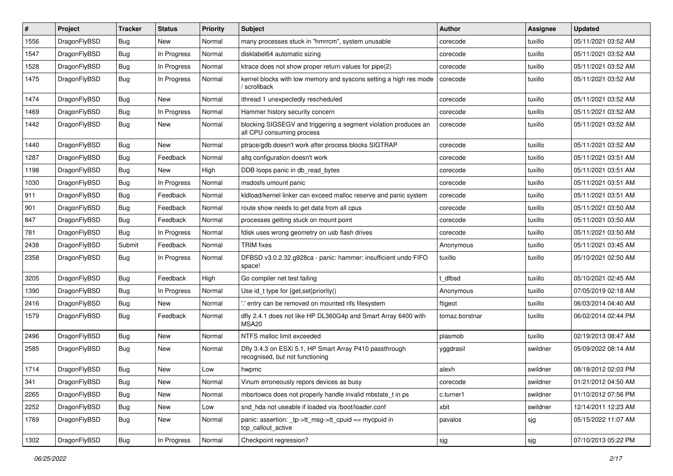| $\#$ | Project      | <b>Tracker</b> | <b>Status</b> | <b>Priority</b> | <b>Subject</b>                                                                               | <b>Author</b>  | <b>Assignee</b> | <b>Updated</b>      |
|------|--------------|----------------|---------------|-----------------|----------------------------------------------------------------------------------------------|----------------|-----------------|---------------------|
| 1556 | DragonFlyBSD | Bug            | New           | Normal          | many processes stuck in "hmrrcm", system unusable                                            | corecode       | tuxillo         | 05/11/2021 03:52 AM |
| 1547 | DragonFlyBSD | <b>Bug</b>     | In Progress   | Normal          | disklabel64 automatic sizing                                                                 | corecode       | tuxillo         | 05/11/2021 03:52 AM |
| 1528 | DragonFlyBSD | <b>Bug</b>     | In Progress   | Normal          | ktrace does not show proper return values for pipe(2)                                        | corecode       | tuxillo         | 05/11/2021 03:52 AM |
| 1475 | DragonFlyBSD | Bug            | In Progress   | Normal          | kernel blocks with low memory and syscons setting a high res mode<br>' scrollback            | corecode       | tuxillo         | 05/11/2021 03:52 AM |
| 1474 | DragonFlyBSD | <b>Bug</b>     | New           | Normal          | ithread 1 unexpectedly rescheduled                                                           | corecode       | tuxillo         | 05/11/2021 03:52 AM |
| 1469 | DragonFlyBSD | <b>Bug</b>     | In Progress   | Normal          | Hammer history security concern                                                              | corecode       | tuxillo         | 05/11/2021 03:52 AM |
| 1442 | DragonFlyBSD | Bug            | New           | Normal          | blocking SIGSEGV and triggering a segment violation produces an<br>all CPU consuming process | corecode       | tuxillo         | 05/11/2021 03:52 AM |
| 1440 | DragonFlyBSD | Bug            | New           | Normal          | ptrace/gdb doesn't work after process blocks SIGTRAP                                         | corecode       | tuxillo         | 05/11/2021 03:52 AM |
| 1287 | DragonFlyBSD | Bug            | Feedback      | Normal          | altg configuration doesn't work                                                              | corecode       | tuxillo         | 05/11/2021 03:51 AM |
| 1198 | DragonFlyBSD | Bug            | New           | High            | DDB loops panic in db_read_bytes                                                             | corecode       | tuxillo         | 05/11/2021 03:51 AM |
| 1030 | DragonFlyBSD | <b>Bug</b>     | In Progress   | Normal          | msdosfs umount panic                                                                         | corecode       | tuxillo         | 05/11/2021 03:51 AM |
| 911  | DragonFlyBSD | <b>Bug</b>     | Feedback      | Normal          | kldload/kernel linker can exceed malloc reserve and panic system                             | corecode       | tuxillo         | 05/11/2021 03:51 AM |
| 901  | DragonFlyBSD | Bug            | Feedback      | Normal          | route show needs to get data from all cpus                                                   | corecode       | tuxillo         | 05/11/2021 03:50 AM |
| 847  | DragonFlyBSD | Bug            | Feedback      | Normal          | processes getting stuck on mount point                                                       | corecode       | tuxillo         | 05/11/2021 03:50 AM |
| 781  | DragonFlyBSD | <b>Bug</b>     | In Progress   | Normal          | fdisk uses wrong geometry on usb flash drives                                                | corecode       | tuxillo         | 05/11/2021 03:50 AM |
| 2438 | DragonFlyBSD | Submit         | Feedback      | Normal          | <b>TRIM</b> fixes                                                                            | Anonymous      | tuxillo         | 05/11/2021 03:45 AM |
| 2358 | DragonFlyBSD | <b>Bug</b>     | In Progress   | Normal          | DFBSD v3.0.2.32.g928ca - panic: hammer: insufficient undo FIFO<br>space!                     | tuxillo        | tuxillo         | 05/10/2021 02:50 AM |
| 3205 | DragonFlyBSD | <b>Bug</b>     | Feedback      | High            | Go compiler net test failing                                                                 | t dfbsd        | tuxillo         | 05/10/2021 02:45 AM |
| 1390 | DragonFlyBSD | <b>Bug</b>     | In Progress   | Normal          | Use id_t type for {get,set}priority()                                                        | Anonymous      | tuxillo         | 07/05/2019 02:18 AM |
| 2416 | DragonFlyBSD | <b>Bug</b>     | New           | Normal          | ' entry can be removed on mounted nfs filesystem                                             | ftigeot        | tuxillo         | 06/03/2014 04:40 AM |
| 1579 | DragonFlyBSD | <b>Bug</b>     | Feedback      | Normal          | dfly 2.4.1 does not like HP DL360G4p and Smart Array 6400 with<br>MSA <sub>20</sub>          | tomaz.borstnar | tuxillo         | 06/02/2014 02:44 PM |
| 2496 | DragonFlyBSD | Bug            | <b>New</b>    | Normal          | NTFS malloc limit exceeded                                                                   | plasmob        | tuxillo         | 02/19/2013 08:47 AM |
| 2585 | DragonFlyBSD | <b>Bug</b>     | New           | Normal          | Dfly 3.4.3 on ESXi 5.1, HP Smart Array P410 passthrough<br>recognised, but not functioning   | yggdrasil      | swildner        | 05/09/2022 08:14 AM |
| 1714 | DragonFlyBSD | Bug            | New           | Low             | hwpmc                                                                                        | alexh          | swildner        | 08/18/2012 02:03 PM |
| 341  | DragonFlyBSD | Bug            | New           | Normal          | Vinum erroneously repors devices as busy                                                     | corecode       | swildner        | 01/21/2012 04:50 AM |
| 2265 | DragonFlyBSD | <b>Bug</b>     | New           | Normal          | mbsrtowcs does not properly handle invalid mbstate t in ps                                   | c.turner1      | swildner        | 01/10/2012 07:56 PM |
| 2252 | DragonFlyBSD | <b>Bug</b>     | New           | Low             | snd_hda not useable if loaded via /boot/loader.conf                                          | xbit           | swildner        | 12/14/2011 12:23 AM |
| 1769 | DragonFlyBSD | <b>Bug</b>     | New           | Normal          | panic: assertion: tp->tt_msg->tt_cpuid == mycpuid in<br>tcp_callout_active                   | pavalos        | sjg             | 05/15/2022 11:07 AM |
| 1302 | DragonFlyBSD | <b>Bug</b>     | In Progress   | Normal          | Checkpoint regression?                                                                       | sjg            | sjg             | 07/10/2013 05:22 PM |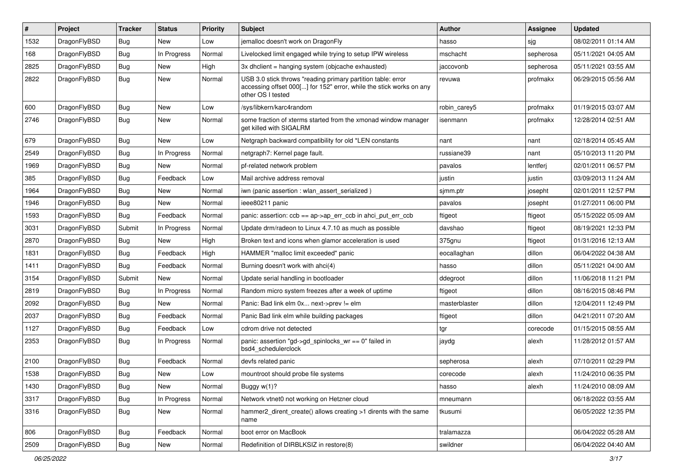| ∦    | Project      | <b>Tracker</b> | <b>Status</b> | <b>Priority</b> | Subject                                                                                                                                                  | <b>Author</b> | Assignee  | <b>Updated</b>      |
|------|--------------|----------------|---------------|-----------------|----------------------------------------------------------------------------------------------------------------------------------------------------------|---------------|-----------|---------------------|
| 1532 | DragonFlyBSD | Bug            | New           | Low             | jemalloc doesn't work on DragonFly                                                                                                                       | hasso         | sjg       | 08/02/2011 01:14 AM |
| 168  | DragonFlyBSD | <b>Bug</b>     | In Progress   | Normal          | Livelocked limit engaged while trying to setup IPW wireless                                                                                              | mschacht      | sepherosa | 05/11/2021 04:05 AM |
| 2825 | DragonFlyBSD | <b>Bug</b>     | New           | High            | 3x dhclient = hanging system (objcache exhausted)                                                                                                        | jaccovonb     | sepherosa | 05/11/2021 03:55 AM |
| 2822 | DragonFlyBSD | Bug            | New           | Normal          | USB 3.0 stick throws "reading primary partition table: error<br>accessing offset 000[] for 152" error, while the stick works on any<br>other OS I tested | revuwa        | profmakx  | 06/29/2015 05:56 AM |
| 600  | DragonFlyBSD | <b>Bug</b>     | New           | Low             | /sys/libkern/karc4random                                                                                                                                 | robin carey5  | profmakx  | 01/19/2015 03:07 AM |
| 2746 | DragonFlyBSD | <b>Bug</b>     | New           | Normal          | some fraction of xterms started from the xmonad window manager<br>get killed with SIGALRM                                                                | isenmann      | profmakx  | 12/28/2014 02:51 AM |
| 679  | DragonFlyBSD | <b>Bug</b>     | <b>New</b>    | Low             | Netgraph backward compatibility for old *LEN constants                                                                                                   | nant          | nant      | 02/18/2014 05:45 AM |
| 2549 | DragonFlyBSD | <b>Bug</b>     | In Progress   | Normal          | netgraph7: Kernel page fault.                                                                                                                            | russiane39    | nant      | 05/10/2013 11:20 PM |
| 1969 | DragonFlyBSD | <b>Bug</b>     | New           | Normal          | pf-related network problem                                                                                                                               | pavalos       | lentferj  | 02/01/2011 06:57 PM |
| 385  | DragonFlyBSD | <b>Bug</b>     | Feedback      | Low             | Mail archive address removal                                                                                                                             | justin        | justin    | 03/09/2013 11:24 AM |
| 1964 | DragonFlyBSD | <b>Bug</b>     | New           | Normal          | iwn (panic assertion : wlan assert serialized)                                                                                                           | sjmm.ptr      | josepht   | 02/01/2011 12:57 PM |
| 1946 | DragonFlyBSD | <b>Bug</b>     | New           | Normal          | ieee80211 panic                                                                                                                                          | pavalos       | josepht   | 01/27/2011 06:00 PM |
| 1593 | DragonFlyBSD | <b>Bug</b>     | Feedback      | Normal          | panic: assertion: $ccb == ap > ap$ err $ccb$ in ahci put err $ccb$                                                                                       | ftigeot       | ftigeot   | 05/15/2022 05:09 AM |
| 3031 | DragonFlyBSD | Submit         | In Progress   | Normal          | Update drm/radeon to Linux 4.7.10 as much as possible                                                                                                    | davshao       | ftigeot   | 08/19/2021 12:33 PM |
| 2870 | DragonFlyBSD | <b>Bug</b>     | New           | High            | Broken text and icons when glamor acceleration is used                                                                                                   | 375gnu        | ftigeot   | 01/31/2016 12:13 AM |
| 1831 | DragonFlyBSD | <b>Bug</b>     | Feedback      | High            | HAMMER "malloc limit exceeded" panic                                                                                                                     | eocallaghan   | dillon    | 06/04/2022 04:38 AM |
| 1411 | DragonFlyBSD | Bug            | Feedback      | Normal          | Burning doesn't work with ahci(4)                                                                                                                        | hasso         | dillon    | 05/11/2021 04:00 AM |
| 3154 | DragonFlyBSD | Submit         | New           | Normal          | Update serial handling in bootloader                                                                                                                     | ddegroot      | dillon    | 11/06/2018 11:21 PM |
| 2819 | DragonFlyBSD | <b>Bug</b>     | In Progress   | Normal          | Random micro system freezes after a week of uptime                                                                                                       | ftigeot       | dillon    | 08/16/2015 08:46 PM |
| 2092 | DragonFlyBSD | Bug            | New           | Normal          | Panic: Bad link elm 0x next->prev != elm                                                                                                                 | masterblaster | dillon    | 12/04/2011 12:49 PM |
| 2037 | DragonFlyBSD | <b>Bug</b>     | Feedback      | Normal          | Panic Bad link elm while building packages                                                                                                               | ftigeot       | dillon    | 04/21/2011 07:20 AM |
| 1127 | DragonFlyBSD | <b>Bug</b>     | Feedback      | Low             | cdrom drive not detected                                                                                                                                 | tgr           | corecode  | 01/15/2015 08:55 AM |
| 2353 | DragonFlyBSD | <b>Bug</b>     | In Progress   | Normal          | panic: assertion "gd->gd_spinlocks_wr == 0" failed in<br>bsd4_schedulerclock                                                                             | jaydg         | alexh     | 11/28/2012 01:57 AM |
| 2100 | DragonFlyBSD | <b>Bug</b>     | Feedback      | Normal          | devfs related panic                                                                                                                                      | sepherosa     | alexh     | 07/10/2011 02:29 PM |
| 1538 | DragonFlyBSD | <b>Bug</b>     | New           | Low             | mountroot should probe file systems                                                                                                                      | corecode      | alexh     | 11/24/2010 06:35 PM |
| 1430 | DragonFlyBSD | <b>Bug</b>     | New           | Normal          | Buggy w(1)?                                                                                                                                              | hasso         | alexh     | 11/24/2010 08:09 AM |
| 3317 | DragonFlyBSD | <b>Bug</b>     | In Progress   | Normal          | Network vtnet0 not working on Hetzner cloud                                                                                                              | mneumann      |           | 06/18/2022 03:55 AM |
| 3316 | DragonFlyBSD | <b>Bug</b>     | New           | Normal          | hammer2_dirent_create() allows creating >1 dirents with the same<br>name                                                                                 | tkusumi       |           | 06/05/2022 12:35 PM |
| 806  | DragonFlyBSD | <b>Bug</b>     | Feedback      | Normal          | boot error on MacBook                                                                                                                                    | tralamazza    |           | 06/04/2022 05:28 AM |
| 2509 | DragonFlyBSD | <b>Bug</b>     | New           | Normal          | Redefinition of DIRBLKSIZ in restore(8)                                                                                                                  | swildner      |           | 06/04/2022 04:40 AM |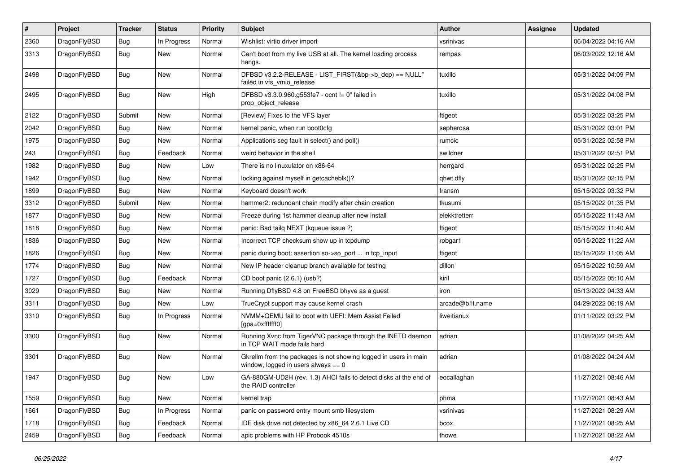| $\sharp$ | Project      | <b>Tracker</b> | <b>Status</b> | <b>Priority</b> | Subject                                                                                                   | Author          | <b>Assignee</b> | <b>Updated</b>      |
|----------|--------------|----------------|---------------|-----------------|-----------------------------------------------------------------------------------------------------------|-----------------|-----------------|---------------------|
| 2360     | DragonFlyBSD | Bug            | In Progress   | Normal          | Wishlist: virtio driver import                                                                            | vsrinivas       |                 | 06/04/2022 04:16 AM |
| 3313     | DragonFlyBSD | <b>Bug</b>     | <b>New</b>    | Normal          | Can't boot from my live USB at all. The kernel loading process<br>hangs.                                  | rempas          |                 | 06/03/2022 12:16 AM |
| 2498     | DragonFlyBSD | Bug            | New           | Normal          | DFBSD v3.2.2-RELEASE - LIST_FIRST(&bp->b_dep) == NULL"<br>failed in vfs vmio release                      | tuxillo         |                 | 05/31/2022 04:09 PM |
| 2495     | DragonFlyBSD | Bug            | New           | High            | DFBSD v3.3.0.960.g553fe7 - ocnt != 0" failed in<br>prop_object_release                                    | tuxillo         |                 | 05/31/2022 04:08 PM |
| 2122     | DragonFlyBSD | Submit         | <b>New</b>    | Normal          | [Review] Fixes to the VFS layer                                                                           | ftigeot         |                 | 05/31/2022 03:25 PM |
| 2042     | DragonFlyBSD | Bug            | New           | Normal          | kernel panic, when run boot0cfg                                                                           | sepherosa       |                 | 05/31/2022 03:01 PM |
| 1975     | DragonFlyBSD | Bug            | <b>New</b>    | Normal          | Applications seg fault in select() and poll()                                                             | rumcic          |                 | 05/31/2022 02:58 PM |
| 243      | DragonFlyBSD | <b>Bug</b>     | Feedback      | Normal          | weird behavior in the shell                                                                               | swildner        |                 | 05/31/2022 02:51 PM |
| 1982     | DragonFlyBSD | Bug            | New           | Low             | There is no linuxulator on x86-64                                                                         | herrgard        |                 | 05/31/2022 02:25 PM |
| 1942     | DragonFlyBSD | Bug            | <b>New</b>    | Normal          | locking against myself in getcacheblk()?                                                                  | qhwt.dfly       |                 | 05/31/2022 02:15 PM |
| 1899     | DragonFlyBSD | Bug            | <b>New</b>    | Normal          | Keyboard doesn't work                                                                                     | fransm          |                 | 05/15/2022 03:32 PM |
| 3312     | DragonFlyBSD | Submit         | New           | Normal          | hammer2: redundant chain modify after chain creation                                                      | tkusumi         |                 | 05/15/2022 01:35 PM |
| 1877     | DragonFlyBSD | <b>Bug</b>     | New           | Normal          | Freeze during 1st hammer cleanup after new install                                                        | elekktretterr   |                 | 05/15/2022 11:43 AM |
| 1818     | DragonFlyBSD | Bug            | New           | Normal          | panic: Bad tailg NEXT (kqueue issue ?)                                                                    | ftigeot         |                 | 05/15/2022 11:40 AM |
| 1836     | DragonFlyBSD | Bug            | New           | Normal          | Incorrect TCP checksum show up in tcpdump                                                                 | robgar1         |                 | 05/15/2022 11:22 AM |
| 1826     | DragonFlyBSD | Bug            | New           | Normal          | panic during boot: assertion so->so_port  in tcp_input                                                    | ftigeot         |                 | 05/15/2022 11:05 AM |
| 1774     | DragonFlyBSD | Bug            | <b>New</b>    | Normal          | New IP header cleanup branch available for testing                                                        | dillon          |                 | 05/15/2022 10:59 AM |
| 1727     | DragonFlyBSD | <b>Bug</b>     | Feedback      | Normal          | CD boot panic (2.6.1) (usb?)                                                                              | kiril           |                 | 05/15/2022 05:10 AM |
| 3029     | DragonFlyBSD | Bug            | New           | Normal          | Running DflyBSD 4.8 on FreeBSD bhyve as a guest                                                           | iron            |                 | 05/13/2022 04:33 AM |
| 3311     | DragonFlyBSD | Bug            | New           | Low             | TrueCrypt support may cause kernel crash                                                                  | arcade@b1t.name |                 | 04/29/2022 06:19 AM |
| 3310     | DragonFlyBSD | <b>Bug</b>     | In Progress   | Normal          | NVMM+QEMU fail to boot with UEFI: Mem Assist Failed<br>[gpa=0xfffffff0]                                   | liweitianux     |                 | 01/11/2022 03:22 PM |
| 3300     | DragonFlyBSD | <b>Bug</b>     | New           | Normal          | Running Xvnc from TigerVNC package through the INETD daemon<br>in TCP WAIT mode fails hard                | adrian          |                 | 01/08/2022 04:25 AM |
| 3301     | DragonFlyBSD | Bug            | <b>New</b>    | Normal          | Gkrellm from the packages is not showing logged in users in main<br>window, logged in users always $== 0$ | adrian          |                 | 01/08/2022 04:24 AM |
| 1947     | DragonFlyBSD | Bug            | <b>New</b>    | Low             | GA-880GM-UD2H (rev. 1.3) AHCI fails to detect disks at the end of<br>the RAID controller                  | eocallaghan     |                 | 11/27/2021 08:46 AM |
| 1559     | DragonFlyBSD | <b>Bug</b>     | New           | Normal          | kernel trap                                                                                               | phma            |                 | 11/27/2021 08:43 AM |
| 1661     | DragonFlyBSD | Bug            | In Progress   | Normal          | panic on password entry mount smb filesystem                                                              | vsrinivas       |                 | 11/27/2021 08:29 AM |
| 1718     | DragonFlyBSD | <b>Bug</b>     | Feedback      | Normal          | IDE disk drive not detected by x86_64 2.6.1 Live CD                                                       | bcox            |                 | 11/27/2021 08:25 AM |
| 2459     | DragonFlyBSD | <b>Bug</b>     | Feedback      | Normal          | apic problems with HP Probook 4510s                                                                       | thowe           |                 | 11/27/2021 08:22 AM |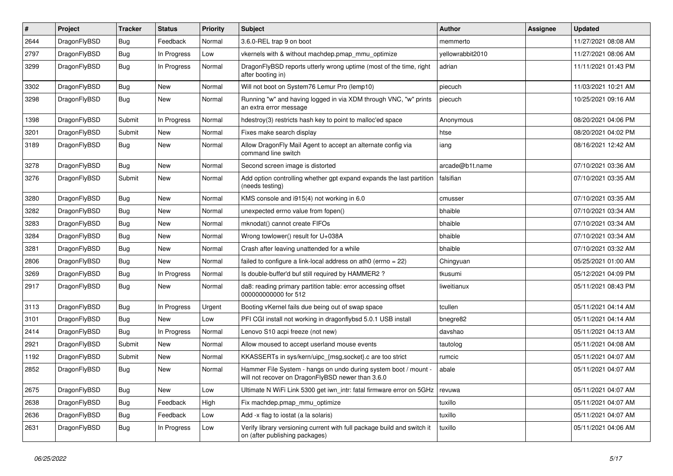| $\vert$ # | Project      | <b>Tracker</b> | <b>Status</b> | <b>Priority</b> | Subject                                                                                                              | Author           | Assignee | <b>Updated</b>      |
|-----------|--------------|----------------|---------------|-----------------|----------------------------------------------------------------------------------------------------------------------|------------------|----------|---------------------|
| 2644      | DragonFlyBSD | <b>Bug</b>     | Feedback      | Normal          | 3.6.0-REL trap 9 on boot                                                                                             | memmerto         |          | 11/27/2021 08:08 AM |
| 2797      | DragonFlyBSD | Bug            | In Progress   | Low             | vkernels with & without machdep.pmap_mmu_optimize                                                                    | yellowrabbit2010 |          | 11/27/2021 08:06 AM |
| 3299      | DragonFlyBSD | Bug            | In Progress   | Normal          | DragonFlyBSD reports utterly wrong uptime (most of the time, right<br>after booting in)                              | adrian           |          | 11/11/2021 01:43 PM |
| 3302      | DragonFlyBSD | Bug            | New           | Normal          | Will not boot on System76 Lemur Pro (lemp10)                                                                         | piecuch          |          | 11/03/2021 10:21 AM |
| 3298      | DragonFlyBSD | Bug            | New           | Normal          | Running "w" and having logged in via XDM through VNC, "w" prints<br>an extra error message                           | piecuch          |          | 10/25/2021 09:16 AM |
| 1398      | DragonFlyBSD | Submit         | In Progress   | Normal          | hdestroy(3) restricts hash key to point to malloc'ed space                                                           | Anonymous        |          | 08/20/2021 04:06 PM |
| 3201      | DragonFlyBSD | Submit         | New           | Normal          | Fixes make search display                                                                                            | htse             |          | 08/20/2021 04:02 PM |
| 3189      | DragonFlyBSD | Bug            | New           | Normal          | Allow DragonFly Mail Agent to accept an alternate config via<br>command line switch                                  | iang             |          | 08/16/2021 12:42 AM |
| 3278      | DragonFlyBSD | Bug            | <b>New</b>    | Normal          | Second screen image is distorted                                                                                     | arcade@b1t.name  |          | 07/10/2021 03:36 AM |
| 3276      | DragonFlyBSD | Submit         | New           | Normal          | Add option controlling whether gpt expand expands the last partition<br>(needs testina)                              | falsifian        |          | 07/10/2021 03:35 AM |
| 3280      | DragonFlyBSD | Bug            | New           | Normal          | KMS console and i915(4) not working in 6.0                                                                           | cmusser          |          | 07/10/2021 03:35 AM |
| 3282      | DragonFlyBSD | Bug            | New           | Normal          | unexpected errno value from fopen()                                                                                  | bhaible          |          | 07/10/2021 03:34 AM |
| 3283      | DragonFlyBSD | Bug            | <b>New</b>    | Normal          | mknodat() cannot create FIFOs                                                                                        | bhaible          |          | 07/10/2021 03:34 AM |
| 3284      | DragonFlyBSD | Bug            | <b>New</b>    | Normal          | Wrong towlower() result for U+038A                                                                                   | bhaible          |          | 07/10/2021 03:34 AM |
| 3281      | DragonFlyBSD | Bug            | <b>New</b>    | Normal          | Crash after leaving unattended for a while                                                                           | bhaible          |          | 07/10/2021 03:32 AM |
| 2806      | DragonFlyBSD | Bug            | New           | Normal          | failed to configure a link-local address on ath0 (errno = 22)                                                        | Chingyuan        |          | 05/25/2021 01:00 AM |
| 3269      | DragonFlyBSD | Bug            | In Progress   | Normal          | Is double-buffer'd buf still required by HAMMER2 ?                                                                   | tkusumi          |          | 05/12/2021 04:09 PM |
| 2917      | DragonFlyBSD | Bug            | New           | Normal          | da8: reading primary partition table: error accessing offset<br>000000000000 for 512                                 | liweitianux      |          | 05/11/2021 08:43 PM |
| 3113      | DragonFlyBSD | Bug            | In Progress   | Urgent          | Booting vKernel fails due being out of swap space                                                                    | tcullen          |          | 05/11/2021 04:14 AM |
| 3101      | DragonFlyBSD | Bug            | <b>New</b>    | Low             | PFI CGI install not working in dragonflybsd 5.0.1 USB install                                                        | bnegre82         |          | 05/11/2021 04:14 AM |
| 2414      | DragonFlyBSD | Bug            | In Progress   | Normal          | Lenovo S10 acpi freeze (not new)                                                                                     | davshao          |          | 05/11/2021 04:13 AM |
| 2921      | DragonFlyBSD | Submit         | New           | Normal          | Allow moused to accept userland mouse events                                                                         | tautolog         |          | 05/11/2021 04:08 AM |
| 1192      | DragonFlyBSD | Submit         | New           | Normal          | KKASSERTs in sys/kern/uipc_{msg,socket}.c are too strict                                                             | rumcic           |          | 05/11/2021 04:07 AM |
| 2852      | DragonFlyBSD | Bug            | New           | Normal          | Hammer File System - hangs on undo during system boot / mount -<br>will not recover on DragonFlyBSD newer than 3.6.0 | abale            |          | 05/11/2021 04:07 AM |
| 2675      | DragonFlyBSD | <b>Bug</b>     | New           | Low             | Ultimate N WiFi Link 5300 get iwn_intr: fatal firmware error on 5GHz                                                 | revuwa           |          | 05/11/2021 04:07 AM |
| 2638      | DragonFlyBSD | Bug            | Feedback      | High            | Fix machdep.pmap_mmu_optimize                                                                                        | tuxillo          |          | 05/11/2021 04:07 AM |
| 2636      | DragonFlyBSD | <b>Bug</b>     | Feedback      | Low             | Add -x flag to iostat (a la solaris)                                                                                 | tuxillo          |          | 05/11/2021 04:07 AM |
| 2631      | DragonFlyBSD | <b>Bug</b>     | In Progress   | Low             | Verify library versioning current with full package build and switch it<br>on (after publishing packages)            | tuxillo          |          | 05/11/2021 04:06 AM |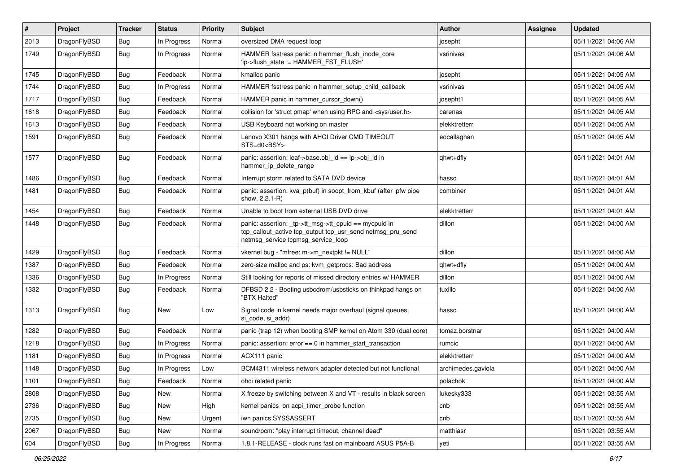| #    | Project      | <b>Tracker</b> | <b>Status</b> | <b>Priority</b> | <b>Subject</b>                                                                                                                                            | Author             | Assignee | <b>Updated</b>      |
|------|--------------|----------------|---------------|-----------------|-----------------------------------------------------------------------------------------------------------------------------------------------------------|--------------------|----------|---------------------|
| 2013 | DragonFlyBSD | <b>Bug</b>     | In Progress   | Normal          | oversized DMA request loop                                                                                                                                | josepht            |          | 05/11/2021 04:06 AM |
| 1749 | DragonFlyBSD | Bug            | In Progress   | Normal          | HAMMER fsstress panic in hammer_flush_inode_core<br>'ip->flush_state != HAMMER_FST_FLUSH'                                                                 | vsrinivas          |          | 05/11/2021 04:06 AM |
| 1745 | DragonFlyBSD | Bug            | Feedback      | Normal          | kmalloc panic                                                                                                                                             | josepht            |          | 05/11/2021 04:05 AM |
| 1744 | DragonFlyBSD | <b>Bug</b>     | In Progress   | Normal          | HAMMER fsstress panic in hammer setup child callback                                                                                                      | vsrinivas          |          | 05/11/2021 04:05 AM |
| 1717 | DragonFlyBSD | <b>Bug</b>     | Feedback      | Normal          | HAMMER panic in hammer cursor down()                                                                                                                      | josepht1           |          | 05/11/2021 04:05 AM |
| 1618 | DragonFlyBSD | Bug            | Feedback      | Normal          | collision for 'struct pmap' when using RPC and <sys user.h=""></sys>                                                                                      | carenas            |          | 05/11/2021 04:05 AM |
| 1613 | DragonFlyBSD | <b>Bug</b>     | Feedback      | Normal          | USB Keyboard not working on master                                                                                                                        | elekktretterr      |          | 05/11/2021 04:05 AM |
| 1591 | DragonFlyBSD | Bug            | Feedback      | Normal          | Lenovo X301 hangs with AHCI Driver CMD TIMEOUT<br>STS=d0 <bsy></bsy>                                                                                      | eocallaghan        |          | 05/11/2021 04:05 AM |
| 1577 | DragonFlyBSD | <b>Bug</b>     | Feedback      | Normal          | panic: assertion: leaf->base.obj_id == ip->obj_id in<br>hammer_ip_delete_range                                                                            | qhwt+dfly          |          | 05/11/2021 04:01 AM |
| 1486 | DragonFlyBSD | <b>Bug</b>     | Feedback      | Normal          | Interrupt storm related to SATA DVD device                                                                                                                | hasso              |          | 05/11/2021 04:01 AM |
| 1481 | DragonFlyBSD | <b>Bug</b>     | Feedback      | Normal          | panic: assertion: kva p(buf) in soopt from kbuf (after ipfw pipe<br>show, 2.2.1-R)                                                                        | combiner           |          | 05/11/2021 04:01 AM |
| 1454 | DragonFlyBSD | <b>Bug</b>     | Feedback      | Normal          | Unable to boot from external USB DVD drive                                                                                                                | elekktretterr      |          | 05/11/2021 04:01 AM |
| 1448 | DragonFlyBSD | Bug            | Feedback      | Normal          | panic: assertion: _tp->tt_msg->tt_cpuid == mycpuid in<br>tcp_callout_active tcp_output tcp_usr_send netmsg_pru_send<br>netmsg_service tcpmsg_service_loop | dillon             |          | 05/11/2021 04:00 AM |
| 1429 | DragonFlyBSD | Bug            | Feedback      | Normal          | vkernel bug - "mfree: m->m_nextpkt != NULL"                                                                                                               | dillon             |          | 05/11/2021 04:00 AM |
| 1387 | DragonFlyBSD | <b>Bug</b>     | Feedback      | Normal          | zero-size malloc and ps: kvm_getprocs: Bad address                                                                                                        | qhwt+dfly          |          | 05/11/2021 04:00 AM |
| 1336 | DragonFlyBSD | <b>Bug</b>     | In Progress   | Normal          | Still looking for reports of missed directory entries w/ HAMMER                                                                                           | dillon             |          | 05/11/2021 04:00 AM |
| 1332 | DragonFlyBSD | Bug            | Feedback      | Normal          | DFBSD 2.2 - Booting usbcdrom/usbsticks on thinkpad hangs on<br>"BTX Halted"                                                                               | tuxillo            |          | 05/11/2021 04:00 AM |
| 1313 | DragonFlyBSD | <b>Bug</b>     | New           | Low             | Signal code in kernel needs major overhaul (signal queues,<br>si_code, si_addr)                                                                           | hasso              |          | 05/11/2021 04:00 AM |
| 1282 | DragonFlyBSD | <b>Bug</b>     | Feedback      | Normal          | panic (trap 12) when booting SMP kernel on Atom 330 (dual core)                                                                                           | tomaz.borstnar     |          | 05/11/2021 04:00 AM |
| 1218 | DragonFlyBSD | <b>Bug</b>     | In Progress   | Normal          | panic: assertion: error == 0 in hammer_start_transaction                                                                                                  | rumcic             |          | 05/11/2021 04:00 AM |
| 1181 | DragonFlyBSD | <b>Bug</b>     | In Progress   | Normal          | ACX111 panic                                                                                                                                              | elekktretterr      |          | 05/11/2021 04:00 AM |
| 1148 | DragonFlyBSD | <b>Bug</b>     | In Progress   | Low             | BCM4311 wireless network adapter detected but not functional                                                                                              | archimedes.gaviola |          | 05/11/2021 04:00 AM |
| 1101 | DragonFlyBSD | Bug            | Feedback      | Normal          | ohci related panic                                                                                                                                        | polachok           |          | 05/11/2021 04:00 AM |
| 2808 | DragonFlyBSD | <b>Bug</b>     | New           | Normal          | X freeze by switching between X and VT - results in black screen                                                                                          | lukesky333         |          | 05/11/2021 03:55 AM |
| 2736 | DragonFlyBSD | <b>Bug</b>     | New           | High            | kernel panics on acpi timer probe function                                                                                                                | cnb                |          | 05/11/2021 03:55 AM |
| 2735 | DragonFlyBSD | Bug            | New           | Urgent          | iwn panics SYSSASSERT                                                                                                                                     | cnb                |          | 05/11/2021 03:55 AM |
| 2067 | DragonFlyBSD | <b>Bug</b>     | New           | Normal          | sound/pcm: "play interrupt timeout, channel dead"                                                                                                         | matthiasr          |          | 05/11/2021 03:55 AM |
| 604  | DragonFlyBSD | Bug            | In Progress   | Normal          | 1.8.1-RELEASE - clock runs fast on mainboard ASUS P5A-B                                                                                                   | yeti               |          | 05/11/2021 03:55 AM |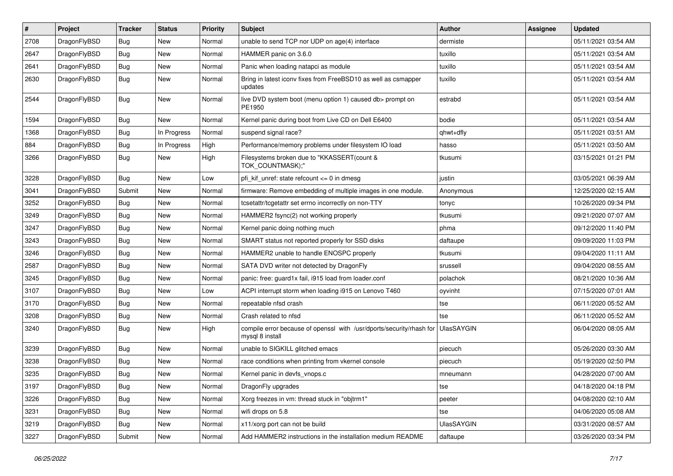| #    | Project      | <b>Tracker</b> | <b>Status</b> | <b>Priority</b> | Subject                                                                                 | <b>Author</b>     | Assignee | <b>Updated</b>      |
|------|--------------|----------------|---------------|-----------------|-----------------------------------------------------------------------------------------|-------------------|----------|---------------------|
| 2708 | DragonFlyBSD | Bug            | <b>New</b>    | Normal          | unable to send TCP nor UDP on age(4) interface                                          | dermiste          |          | 05/11/2021 03:54 AM |
| 2647 | DragonFlyBSD | Bug            | <b>New</b>    | Normal          | HAMMER panic on 3.6.0                                                                   | tuxillo           |          | 05/11/2021 03:54 AM |
| 2641 | DragonFlyBSD | <b>Bug</b>     | New           | Normal          | Panic when loading natapci as module                                                    | tuxillo           |          | 05/11/2021 03:54 AM |
| 2630 | DragonFlyBSD | Bug            | <b>New</b>    | Normal          | Bring in latest iconv fixes from FreeBSD10 as well as csmapper<br>updates               | tuxillo           |          | 05/11/2021 03:54 AM |
| 2544 | DragonFlyBSD | <b>Bug</b>     | New           | Normal          | live DVD system boot (menu option 1) caused db> prompt on<br>PE1950                     | estrabd           |          | 05/11/2021 03:54 AM |
| 1594 | DragonFlyBSD | <b>Bug</b>     | New           | Normal          | Kernel panic during boot from Live CD on Dell E6400                                     | bodie             |          | 05/11/2021 03:54 AM |
| 1368 | DragonFlyBSD | Bug            | In Progress   | Normal          | suspend signal race?                                                                    | qhwt+dfly         |          | 05/11/2021 03:51 AM |
| 884  | DragonFlyBSD | Bug            | In Progress   | High            | Performance/memory problems under filesystem IO load                                    | hasso             |          | 05/11/2021 03:50 AM |
| 3266 | DragonFlyBSD | <b>Bug</b>     | New           | High            | Filesystems broken due to "KKASSERT(count &<br>TOK_COUNTMASK);"                         | tkusumi           |          | 03/15/2021 01:21 PM |
| 3228 | DragonFlyBSD | <b>Bug</b>     | <b>New</b>    | Low             | pfi kif unref: state refcount $\leq 0$ in dmesg                                         | justin            |          | 03/05/2021 06:39 AM |
| 3041 | DragonFlyBSD | Submit         | New           | Normal          | firmware: Remove embedding of multiple images in one module.                            | Anonymous         |          | 12/25/2020 02:15 AM |
| 3252 | DragonFlyBSD | Bug            | <b>New</b>    | Normal          | tcsetattr/tcgetattr set errno incorrectly on non-TTY                                    | tonyc             |          | 10/26/2020 09:34 PM |
| 3249 | DragonFlyBSD | <b>Bug</b>     | <b>New</b>    | Normal          | HAMMER2 fsync(2) not working properly                                                   | tkusumi           |          | 09/21/2020 07:07 AM |
| 3247 | DragonFlyBSD | <b>Bug</b>     | <b>New</b>    | Normal          | Kernel panic doing nothing much                                                         | phma              |          | 09/12/2020 11:40 PM |
| 3243 | DragonFlyBSD | <b>Bug</b>     | <b>New</b>    | Normal          | SMART status not reported properly for SSD disks                                        | daftaupe          |          | 09/09/2020 11:03 PM |
| 3246 | DragonFlyBSD | <b>Bug</b>     | <b>New</b>    | Normal          | HAMMER2 unable to handle ENOSPC properly                                                | tkusumi           |          | 09/04/2020 11:11 AM |
| 2587 | DragonFlyBSD | Bug            | <b>New</b>    | Normal          | SATA DVD writer not detected by DragonFly                                               | srussell          |          | 09/04/2020 08:55 AM |
| 3245 | DragonFlyBSD | Bug            | New           | Normal          | panic: free: guard1x fail, i915 load from loader.conf                                   | polachok          |          | 08/21/2020 10:36 AM |
| 3107 | DragonFlyBSD | <b>Bug</b>     | <b>New</b>    | Low             | ACPI interrupt storm when loading i915 on Lenovo T460                                   | oyvinht           |          | 07/15/2020 07:01 AM |
| 3170 | DragonFlyBSD | Bug            | <b>New</b>    | Normal          | repeatable nfsd crash                                                                   | tse               |          | 06/11/2020 05:52 AM |
| 3208 | DragonFlyBSD | <b>Bug</b>     | <b>New</b>    | Normal          | Crash related to nfsd                                                                   | tse               |          | 06/11/2020 05:52 AM |
| 3240 | DragonFlyBSD | Bug            | New           | High            | compile error because of openssl with /usr/dports/security/rhash for<br>mysql 8 install | UlasSAYGIN        |          | 06/04/2020 08:05 AM |
| 3239 | DragonFlyBSD | <b>Bug</b>     | New           | Normal          | unable to SIGKILL glitched emacs                                                        | piecuch           |          | 05/26/2020 03:30 AM |
| 3238 | DragonFlyBSD | <b>Bug</b>     | <b>New</b>    | Normal          | race conditions when printing from vkernel console                                      | piecuch           |          | 05/19/2020 02:50 PM |
| 3235 | DragonFlyBSD | <b>Bug</b>     | New           | Normal          | Kernel panic in devfs vnops.c                                                           | mneumann          |          | 04/28/2020 07:00 AM |
| 3197 | DragonFlyBSD | <b>Bug</b>     | New           | Normal          | DragonFly upgrades                                                                      | tse               |          | 04/18/2020 04:18 PM |
| 3226 | DragonFlyBSD | <b>Bug</b>     | New           | Normal          | Xorg freezes in vm: thread stuck in "objtrm1"                                           | peeter            |          | 04/08/2020 02:10 AM |
| 3231 | DragonFlyBSD | <b>Bug</b>     | New           | Normal          | wifi drops on 5.8                                                                       | tse               |          | 04/06/2020 05:08 AM |
| 3219 | DragonFlyBSD | Bug            | New           | Normal          | x11/xorg port can not be build                                                          | <b>UlasSAYGIN</b> |          | 03/31/2020 08:57 AM |
| 3227 | DragonFlyBSD | Submit         | New           | Normal          | Add HAMMER2 instructions in the installation medium README                              | daftaupe          |          | 03/26/2020 03:34 PM |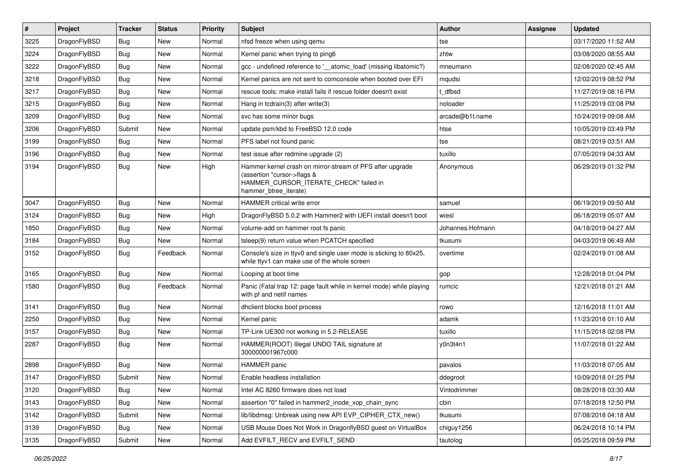| $\pmb{\#}$ | Project      | <b>Tracker</b> | <b>Status</b> | <b>Priority</b> | Subject                                                                                                                                                     | Author           | <b>Assignee</b> | <b>Updated</b>      |
|------------|--------------|----------------|---------------|-----------------|-------------------------------------------------------------------------------------------------------------------------------------------------------------|------------------|-----------------|---------------------|
| 3225       | DragonFlyBSD | Bug            | <b>New</b>    | Normal          | nfsd freeze when using qemu                                                                                                                                 | tse              |                 | 03/17/2020 11:52 AM |
| 3224       | DragonFlyBSD | Bug            | <b>New</b>    | Normal          | Kernel panic when trying to ping6                                                                                                                           | zhtw             |                 | 03/08/2020 08:55 AM |
| 3222       | DragonFlyBSD | Bug            | <b>New</b>    | Normal          | gcc - undefined reference to '__atomic_load' (missing libatomic?)                                                                                           | mneumann         |                 | 02/08/2020 02:45 AM |
| 3218       | DragonFlyBSD | Bug            | <b>New</b>    | Normal          | Kernel panics are not sent to comconsole when booted over EFI                                                                                               | mqudsi           |                 | 12/02/2019 08:52 PM |
| 3217       | DragonFlyBSD | Bug            | <b>New</b>    | Normal          | rescue tools: make install fails if rescue folder doesn't exist                                                                                             | dfbsd            |                 | 11/27/2019 08:16 PM |
| 3215       | DragonFlyBSD | Bug            | New           | Normal          | Hang in tcdrain(3) after write(3)                                                                                                                           | noloader         |                 | 11/25/2019 03:08 PM |
| 3209       | DragonFlyBSD | Bug            | <b>New</b>    | Normal          | svc has some minor bugs                                                                                                                                     | arcade@b1t.name  |                 | 10/24/2019 09:08 AM |
| 3206       | DragonFlyBSD | Submit         | <b>New</b>    | Normal          | update psm/kbd to FreeBSD 12.0 code                                                                                                                         | htse             |                 | 10/05/2019 03:49 PM |
| 3199       | DragonFlyBSD | Bug            | <b>New</b>    | Normal          | PFS label not found panic                                                                                                                                   | tse              |                 | 08/21/2019 03:51 AM |
| 3196       | DragonFlyBSD | Bug            | <b>New</b>    | Normal          | test issue after redmine upgrade (2)                                                                                                                        | tuxillo          |                 | 07/05/2019 04:33 AM |
| 3194       | DragonFlyBSD | Bug            | New           | High            | Hammer kernel crash on mirror-stream of PFS after upgrade<br>(assertion "cursor->flags &<br>HAMMER_CURSOR_ITERATE_CHECK" failed in<br>hammer_btree_iterate) | Anonymous        |                 | 06/29/2019 01:32 PM |
| 3047       | DragonFlyBSD | <b>Bug</b>     | <b>New</b>    | Normal          | <b>HAMMER</b> critical write error                                                                                                                          | samuel           |                 | 06/19/2019 09:50 AM |
| 3124       | DragonFlyBSD | Bug            | <b>New</b>    | High            | DragonFlyBSD 5.0.2 with Hammer2 with UEFI install doesn't boot                                                                                              | wiesl            |                 | 06/18/2019 05:07 AM |
| 1850       | DragonFlyBSD | Bug            | <b>New</b>    | Normal          | volume-add on hammer root fs panic                                                                                                                          | Johannes.Hofmann |                 | 04/18/2019 04:27 AM |
| 3184       | DragonFlyBSD | Bug            | <b>New</b>    | Normal          | tsleep(9) return value when PCATCH specified                                                                                                                | tkusumi          |                 | 04/03/2019 06:49 AM |
| 3152       | DragonFlyBSD | Bug            | Feedback      | Normal          | Console's size in ttyv0 and single user mode is sticking to 80x25,<br>while ttyv1 can make use of the whole screen                                          | overtime         |                 | 02/24/2019 01:08 AM |
| 3165       | DragonFlyBSD | <b>Bug</b>     | <b>New</b>    | Normal          | Looping at boot time                                                                                                                                        | gop              |                 | 12/28/2018 01:04 PM |
| 1580       | DragonFlyBSD | Bug            | Feedback      | Normal          | Panic (Fatal trap 12: page fault while in kernel mode) while playing<br>with pf and netif names                                                             | rumcic           |                 | 12/21/2018 01:21 AM |
| 3141       | DragonFlyBSD | <b>Bug</b>     | <b>New</b>    | Normal          | dhclient blocks boot process                                                                                                                                | rowo             |                 | 12/16/2018 11:01 AM |
| 2250       | DragonFlyBSD | Bug            | <b>New</b>    | Normal          | Kernel panic                                                                                                                                                | adamk            |                 | 11/23/2018 01:10 AM |
| 3157       | DragonFlyBSD | Bug            | <b>New</b>    | Normal          | TP-Link UE300 not working in 5.2-RELEASE                                                                                                                    | tuxillo          |                 | 11/15/2018 02:08 PM |
| 2287       | DragonFlyBSD | Bug            | <b>New</b>    | Normal          | HAMMER(ROOT) Illegal UNDO TAIL signature at<br>300000001967c000                                                                                             | y0n3t4n1         |                 | 11/07/2018 01:22 AM |
| 2898       | DragonFlyBSD | Bug            | <b>New</b>    | Normal          | <b>HAMMER</b> panic                                                                                                                                         | pavalos          |                 | 11/03/2018 07:05 AM |
| 3147       | DragonFlyBSD | Submit         | New           | Normal          | Enable headless installation                                                                                                                                | ddegroot         |                 | 10/09/2018 01:25 PM |
| 3120       | DragonFlyBSD | <b>Bug</b>     | <b>New</b>    | Normal          | Intel AC 8260 firmware does not load                                                                                                                        | Vintodrimmer     |                 | 08/28/2018 03:30 AM |
| 3143       | DragonFlyBSD | <b>Bug</b>     | New           | Normal          | assertion "0" failed in hammer2_inode_xop_chain_sync                                                                                                        | cbin             |                 | 07/18/2018 12:50 PM |
| 3142       | DragonFlyBSD | Submit         | New           | Normal          | lib/libdmsg: Unbreak using new API EVP_CIPHER_CTX_new()                                                                                                     | tkusumi          |                 | 07/08/2018 04:18 AM |
| 3139       | DragonFlyBSD | Bug            | New           | Normal          | USB Mouse Does Not Work in DragonflyBSD guest on VirtualBox                                                                                                 | chiguy1256       |                 | 06/24/2018 10:14 PM |
| 3135       | DragonFlyBSD | Submit         | New           | Normal          | Add EVFILT_RECV and EVFILT_SEND                                                                                                                             | tautolog         |                 | 05/25/2018 09:59 PM |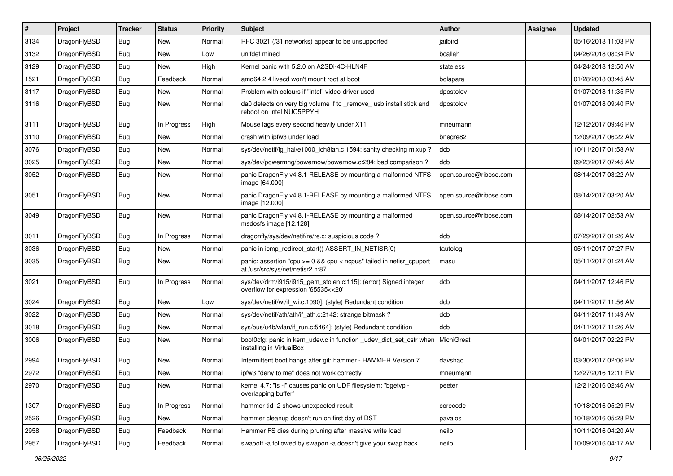| #    | Project      | <b>Tracker</b> | <b>Status</b> | <b>Priority</b> | Subject                                                                                                 | <b>Author</b>          | Assignee | <b>Updated</b>      |
|------|--------------|----------------|---------------|-----------------|---------------------------------------------------------------------------------------------------------|------------------------|----------|---------------------|
| 3134 | DragonFlyBSD | <b>Bug</b>     | New           | Normal          | RFC 3021 (/31 networks) appear to be unsupported                                                        | jailbird               |          | 05/16/2018 11:03 PM |
| 3132 | DragonFlyBSD | <b>Bug</b>     | New           | Low             | unifdef mined                                                                                           | bcallah                |          | 04/26/2018 08:34 PM |
| 3129 | DragonFlyBSD | <b>Bug</b>     | New           | High            | Kernel panic with 5.2.0 on A2SDi-4C-HLN4F                                                               | stateless              |          | 04/24/2018 12:50 AM |
| 1521 | DragonFlyBSD | <b>Bug</b>     | Feedback      | Normal          | amd64 2.4 livecd won't mount root at boot                                                               | bolapara               |          | 01/28/2018 03:45 AM |
| 3117 | DragonFlyBSD | <b>Bug</b>     | New           | Normal          | Problem with colours if "intel" video-driver used                                                       | dpostolov              |          | 01/07/2018 11:35 PM |
| 3116 | DragonFlyBSD | <b>Bug</b>     | New           | Normal          | da0 detects on very big volume if to remove usb install stick and<br>reboot on Intel NUC5PPYH           | dpostolov              |          | 01/07/2018 09:40 PM |
| 3111 | DragonFlyBSD | <b>Bug</b>     | In Progress   | High            | Mouse lags every second heavily under X11                                                               | mneumann               |          | 12/12/2017 09:46 PM |
| 3110 | DragonFlyBSD | <b>Bug</b>     | New           | Normal          | crash with ipfw3 under load                                                                             | bnegre82               |          | 12/09/2017 06:22 AM |
| 3076 | DragonFlyBSD | <b>Bug</b>     | <b>New</b>    | Normal          | sys/dev/netif/ig_hal/e1000_ich8lan.c:1594: sanity checking mixup ?                                      | dcb                    |          | 10/11/2017 01:58 AM |
| 3025 | DragonFlyBSD | <b>Bug</b>     | New           | Normal          | sys/dev/powermng/powernow/powernow.c:284: bad comparison?                                               | dcb                    |          | 09/23/2017 07:45 AM |
| 3052 | DragonFlyBSD | <b>Bug</b>     | <b>New</b>    | Normal          | panic DragonFly v4.8.1-RELEASE by mounting a malformed NTFS<br>image [64.000]                           | open.source@ribose.com |          | 08/14/2017 03:22 AM |
| 3051 | DragonFlyBSD | Bug            | New           | Normal          | panic DragonFly v4.8.1-RELEASE by mounting a malformed NTFS<br>image [12.000]                           | open.source@ribose.com |          | 08/14/2017 03:20 AM |
| 3049 | DragonFlyBSD | Bug            | <b>New</b>    | Normal          | panic DragonFly v4.8.1-RELEASE by mounting a malformed<br>msdosfs image [12.128]                        | open.source@ribose.com |          | 08/14/2017 02:53 AM |
| 3011 | DragonFlyBSD | Bug            | In Progress   | Normal          | dragonfly/sys/dev/netif/re/re.c: suspicious code?                                                       | dcb                    |          | 07/29/2017 01:26 AM |
| 3036 | DragonFlyBSD | Bug            | New           | Normal          | panic in icmp redirect start() ASSERT IN NETISR(0)                                                      | tautolog               |          | 05/11/2017 07:27 PM |
| 3035 | DragonFlyBSD | Bug            | New           | Normal          | panic: assertion "cpu >= 0 && cpu < ncpus" failed in netisr_cpuport<br>at /usr/src/sys/net/netisr2.h:87 | masu                   |          | 05/11/2017 01:24 AM |
| 3021 | DragonFlyBSD | Bug            | In Progress   | Normal          | sys/dev/drm/i915/i915_gem_stolen.c:115]: (error) Signed integer<br>overflow for expression '65535<<20'  | dcb                    |          | 04/11/2017 12:46 PM |
| 3024 | DragonFlyBSD | Bug            | <b>New</b>    | Low             | sys/dev/netif/wi/if_wi.c:1090]: (style) Redundant condition                                             | dcb                    |          | 04/11/2017 11:56 AM |
| 3022 | DragonFlyBSD | Bug            | <b>New</b>    | Normal          | sys/dev/netif/ath/ath/if_ath.c:2142: strange bitmask?                                                   | dcb                    |          | 04/11/2017 11:49 AM |
| 3018 | DragonFlyBSD | Bug            | New           | Normal          | sys/bus/u4b/wlan/if_run.c:5464]: (style) Redundant condition                                            | dcb                    |          | 04/11/2017 11:26 AM |
| 3006 | DragonFlyBSD | Bug            | <b>New</b>    | Normal          | boot0cfg: panic in kern_udev.c in function _udev_dict_set_cstr when<br>installing in VirtualBox         | MichiGreat             |          | 04/01/2017 02:22 PM |
| 2994 | DragonFlyBSD | Bug            | <b>New</b>    | Normal          | Intermittent boot hangs after git: hammer - HAMMER Version 7                                            | davshao                |          | 03/30/2017 02:06 PM |
| 2972 | DragonFlyBSD | <b>Bug</b>     | New           | Normal          | ipfw3 "deny to me" does not work correctly                                                              | mneumann               |          | 12/27/2016 12:11 PM |
| 2970 | DragonFlyBSD | <b>Bug</b>     | New           | Normal          | kernel 4.7: "Is -I" causes panic on UDF filesystem: "bgetvp -<br>overlapping buffer"                    | peeter                 |          | 12/21/2016 02:46 AM |
| 1307 | DragonFlyBSD | <b>Bug</b>     | In Progress   | Normal          | hammer tid -2 shows unexpected result                                                                   | corecode               |          | 10/18/2016 05:29 PM |
| 2526 | DragonFlyBSD | <b>Bug</b>     | New           | Normal          | hammer cleanup doesn't run on first day of DST                                                          | pavalos                |          | 10/18/2016 05:28 PM |
| 2958 | DragonFlyBSD | Bug            | Feedback      | Normal          | Hammer FS dies during pruning after massive write load                                                  | neilb                  |          | 10/11/2016 04:20 AM |
| 2957 | DragonFlyBSD | <b>Bug</b>     | Feedback      | Normal          | swapoff -a followed by swapon -a doesn't give your swap back                                            | neilb                  |          | 10/09/2016 04:17 AM |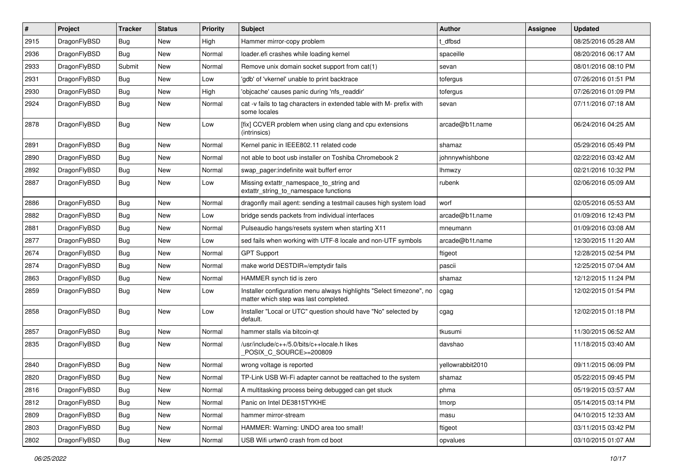| $\vert$ # | Project      | <b>Tracker</b> | <b>Status</b> | <b>Priority</b> | Subject                                                                                                       | Author           | <b>Assignee</b> | <b>Updated</b>      |
|-----------|--------------|----------------|---------------|-----------------|---------------------------------------------------------------------------------------------------------------|------------------|-----------------|---------------------|
| 2915      | DragonFlyBSD | <b>Bug</b>     | New           | High            | Hammer mirror-copy problem                                                                                    | t dfbsd          |                 | 08/25/2016 05:28 AM |
| 2936      | DragonFlyBSD | <b>Bug</b>     | <b>New</b>    | Normal          | loader.efi crashes while loading kernel                                                                       | spaceille        |                 | 08/20/2016 06:17 AM |
| 2933      | DragonFlyBSD | Submit         | New           | Normal          | Remove unix domain socket support from cat(1)                                                                 | sevan            |                 | 08/01/2016 08:10 PM |
| 2931      | DragonFlyBSD | Bug            | New           | Low             | 'gdb' of 'vkernel' unable to print backtrace                                                                  | tofergus         |                 | 07/26/2016 01:51 PM |
| 2930      | DragonFlyBSD | <b>Bug</b>     | <b>New</b>    | High            | 'objcache' causes panic during 'nfs_readdir'                                                                  | tofergus         |                 | 07/26/2016 01:09 PM |
| 2924      | DragonFlyBSD | <b>Bug</b>     | New           | Normal          | cat -v fails to tag characters in extended table with M- prefix with<br>some locales                          | sevan            |                 | 07/11/2016 07:18 AM |
| 2878      | DragonFlyBSD | <b>Bug</b>     | New           | Low             | [fix] CCVER problem when using clang and cpu extensions<br>(intrinsics)                                       | arcade@b1t.name  |                 | 06/24/2016 04:25 AM |
| 2891      | DragonFlyBSD | Bug            | <b>New</b>    | Normal          | Kernel panic in IEEE802.11 related code                                                                       | shamaz           |                 | 05/29/2016 05:49 PM |
| 2890      | DragonFlyBSD | <b>Bug</b>     | <b>New</b>    | Normal          | not able to boot usb installer on Toshiba Chromebook 2                                                        | johnnywhishbone  |                 | 02/22/2016 03:42 AM |
| 2892      | DragonFlyBSD | Bug            | New           | Normal          | swap_pager:indefinite wait bufferf error                                                                      | <b>Ihmwzy</b>    |                 | 02/21/2016 10:32 PM |
| 2887      | DragonFlyBSD | Bug            | <b>New</b>    | Low             | Missing extattr_namespace_to_string and<br>extattr_string_to_namespace functions                              | rubenk           |                 | 02/06/2016 05:09 AM |
| 2886      | DragonFlyBSD | <b>Bug</b>     | <b>New</b>    | Normal          | dragonfly mail agent: sending a testmail causes high system load                                              | worf             |                 | 02/05/2016 05:53 AM |
| 2882      | DragonFlyBSD | <b>Bug</b>     | New           | Low             | bridge sends packets from individual interfaces                                                               | arcade@b1t.name  |                 | 01/09/2016 12:43 PM |
| 2881      | DragonFlyBSD | Bug            | <b>New</b>    | Normal          | Pulseaudio hangs/resets system when starting X11                                                              | mneumann         |                 | 01/09/2016 03:08 AM |
| 2877      | DragonFlyBSD | Bug            | <b>New</b>    | Low             | sed fails when working with UTF-8 locale and non-UTF symbols                                                  | arcade@b1t.name  |                 | 12/30/2015 11:20 AM |
| 2674      | DragonFlyBSD | Bug            | <b>New</b>    | Normal          | <b>GPT Support</b>                                                                                            | ftigeot          |                 | 12/28/2015 02:54 PM |
| 2874      | DragonFlyBSD | Bug            | <b>New</b>    | Normal          | make world DESTDIR=/emptydir fails                                                                            | pascii           |                 | 12/25/2015 07:04 AM |
| 2863      | DragonFlyBSD | <b>Bug</b>     | New           | Normal          | HAMMER synch tid is zero                                                                                      | shamaz           |                 | 12/12/2015 11:24 PM |
| 2859      | DragonFlyBSD | Bug            | New           | Low             | Installer configuration menu always highlights "Select timezone", no<br>matter which step was last completed. | cgag             |                 | 12/02/2015 01:54 PM |
| 2858      | DragonFlyBSD | Bug            | New           | Low             | Installer "Local or UTC" question should have "No" selected by<br>default.                                    | cgag             |                 | 12/02/2015 01:18 PM |
| 2857      | DragonFlyBSD | Bug            | New           | Normal          | hammer stalls via bitcoin-qt                                                                                  | tkusumi          |                 | 11/30/2015 06:52 AM |
| 2835      | DragonFlyBSD | Bug            | <b>New</b>    | Normal          | /usr/include/c++/5.0/bits/c++locale.h likes<br>POSIX_C_SOURCE>=200809                                         | davshao          |                 | 11/18/2015 03:40 AM |
| 2840      | DragonFlyBSD | Bug            | <b>New</b>    | Normal          | wrong voltage is reported                                                                                     | yellowrabbit2010 |                 | 09/11/2015 06:09 PM |
| 2820      | DragonFlyBSD | Bug            | New           | Normal          | TP-Link USB Wi-Fi adapter cannot be reattached to the system                                                  | shamaz           |                 | 05/22/2015 09:45 PM |
| 2816      | DragonFlyBSD | Bug            | New           | Normal          | A multitasking process being debugged can get stuck                                                           | phma             |                 | 05/19/2015 03:57 AM |
| 2812      | DragonFlyBSD | Bug            | New           | Normal          | Panic on Intel DE3815TYKHE                                                                                    | tmorp            |                 | 05/14/2015 03:14 PM |
| 2809      | DragonFlyBSD | <b>Bug</b>     | New           | Normal          | hammer mirror-stream                                                                                          | masu             |                 | 04/10/2015 12:33 AM |
| 2803      | DragonFlyBSD | Bug            | New           | Normal          | HAMMER: Warning: UNDO area too small!                                                                         | ftigeot          |                 | 03/11/2015 03:42 PM |
| 2802      | DragonFlyBSD | Bug            | New           | Normal          | USB Wifi urtwn0 crash from cd boot                                                                            | opvalues         |                 | 03/10/2015 01:07 AM |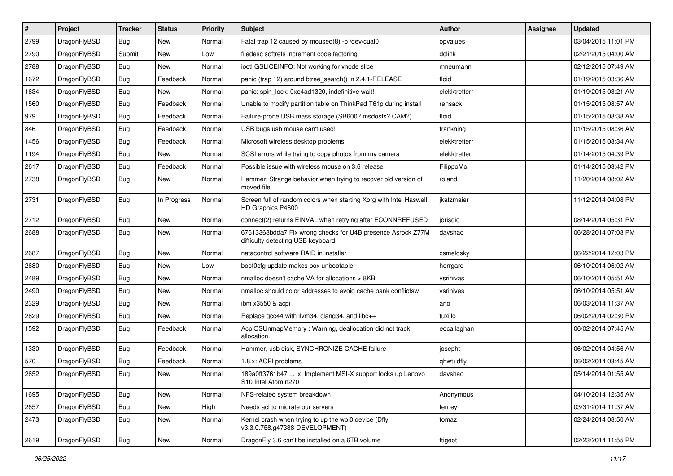| $\sharp$ | Project      | <b>Tracker</b> | <b>Status</b> | <b>Priority</b> | Subject                                                                                          | Author        | Assignee | <b>Updated</b>      |
|----------|--------------|----------------|---------------|-----------------|--------------------------------------------------------------------------------------------------|---------------|----------|---------------------|
| 2799     | DragonFlyBSD | <b>Bug</b>     | New           | Normal          | Fatal trap 12 caused by moused(8) -p /dev/cual0                                                  | opvalues      |          | 03/04/2015 11:01 PM |
| 2790     | DragonFlyBSD | Submit         | <b>New</b>    | Low             | filedesc softrefs increment code factoring                                                       | dclink        |          | 02/21/2015 04:00 AM |
| 2788     | DragonFlyBSD | Bug            | <b>New</b>    | Normal          | ioctl GSLICEINFO: Not working for vnode slice                                                    | mneumann      |          | 02/12/2015 07:49 AM |
| 1672     | DragonFlyBSD | Bug            | Feedback      | Normal          | panic (trap 12) around btree search() in 2.4.1-RELEASE                                           | floid         |          | 01/19/2015 03:36 AM |
| 1634     | DragonFlyBSD | Bug            | <b>New</b>    | Normal          | panic: spin_lock: 0xe4ad1320, indefinitive wait!                                                 | elekktretterr |          | 01/19/2015 03:21 AM |
| 1560     | DragonFlyBSD | Bug            | Feedback      | Normal          | Unable to modify partition table on ThinkPad T61p during install                                 | rehsack       |          | 01/15/2015 08:57 AM |
| 979      | DragonFlyBSD | Bug            | Feedback      | Normal          | Failure-prone USB mass storage (SB600? msdosfs? CAM?)                                            | floid         |          | 01/15/2015 08:38 AM |
| 846      | DragonFlyBSD | Bug            | Feedback      | Normal          | USB bugs:usb mouse can't used!                                                                   | frankning     |          | 01/15/2015 08:36 AM |
| 1456     | DragonFlyBSD | Bug            | Feedback      | Normal          | Microsoft wireless desktop problems                                                              | elekktretterr |          | 01/15/2015 08:34 AM |
| 1194     | DragonFlyBSD | Bug            | New           | Normal          | SCSI errors while trying to copy photos from my camera                                           | elekktretterr |          | 01/14/2015 04:39 PM |
| 2617     | DragonFlyBSD | Bug            | Feedback      | Normal          | Possible issue with wireless mouse on 3.6 release                                                | FilippoMo     |          | 01/14/2015 03:42 PM |
| 2738     | DragonFlyBSD | Bug            | <b>New</b>    | Normal          | Hammer: Strange behavior when trying to recover old version of<br>moved file                     | roland        |          | 11/20/2014 08:02 AM |
| 2731     | DragonFlyBSD | Bug            | In Progress   | Normal          | Screen full of random colors when starting Xorg with Intel Haswell<br>HD Graphics P4600          | jkatzmaier    |          | 11/12/2014 04:08 PM |
| 2712     | DragonFlyBSD | Bug            | <b>New</b>    | Normal          | connect(2) returns EINVAL when retrying after ECONNREFUSED                                       | jorisgio      |          | 08/14/2014 05:31 PM |
| 2688     | DragonFlyBSD | Bug            | New           | Normal          | 67613368bdda7 Fix wrong checks for U4B presence Asrock Z77M<br>difficulty detecting USB keyboard | davshao       |          | 06/28/2014 07:08 PM |
| 2687     | DragonFlyBSD | Bug            | <b>New</b>    | Normal          | natacontrol software RAID in installer                                                           | csmelosky     |          | 06/22/2014 12:03 PM |
| 2680     | DragonFlyBSD | Bug            | New           | Low             | boot0cfg update makes box unbootable                                                             | herrgard      |          | 06/10/2014 06:02 AM |
| 2489     | DragonFlyBSD | Bug            | New           | Normal          | nmalloc doesn't cache VA for allocations > 8KB                                                   | vsrinivas     |          | 06/10/2014 05:51 AM |
| 2490     | DragonFlyBSD | Bug            | New           | Normal          | nmalloc should color addresses to avoid cache bank conflictsw                                    | vsrinivas     |          | 06/10/2014 05:51 AM |
| 2329     | DragonFlyBSD | Bug            | <b>New</b>    | Normal          | ibm x3550 & acpi                                                                                 | ano           |          | 06/03/2014 11:37 AM |
| 2629     | DragonFlyBSD | Bug            | New           | Normal          | Replace gcc44 with llvm34, clang34, and libc++                                                   | tuxillo       |          | 06/02/2014 02:30 PM |
| 1592     | DragonFlyBSD | Bug            | Feedback      | Normal          | AcpiOSUnmapMemory: Warning, deallocation did not track<br>allocation.                            | eocallaghan   |          | 06/02/2014 07:45 AM |
| 1330     | DragonFlyBSD | Bug            | Feedback      | Normal          | Hammer, usb disk, SYNCHRONIZE CACHE failure                                                      | josepht       |          | 06/02/2014 04:56 AM |
| 570      | DragonFlyBSD | Bug            | Feedback      | Normal          | 1.8.x: ACPI problems                                                                             | qhwt+dfly     |          | 06/02/2014 03:45 AM |
| 2652     | DragonFlyBSD | Bug            | New           | Normal          | 189a0ff3761b47  ix: Implement MSI-X support locks up Lenovo<br>S10 Intel Atom n2/0               | davshao       |          | 05/14/2014 01:55 AM |
| 1695     | DragonFlyBSD | <b>Bug</b>     | <b>New</b>    | Normal          | NFS-related system breakdown                                                                     | Anonymous     |          | 04/10/2014 12:35 AM |
| 2657     | DragonFlyBSD | <b>Bug</b>     | New           | High            | Needs acl to migrate our servers                                                                 | ferney        |          | 03/31/2014 11:37 AM |
| 2473     | DragonFlyBSD | <b>Bug</b>     | New           | Normal          | Kernel crash when trying to up the wpi0 device (Dfly<br>v3.3.0.758.g47388-DEVELOPMENT)           | tomaz         |          | 02/24/2014 08:50 AM |
| 2619     | DragonFlyBSD | <b>Bug</b>     | New           | Normal          | DragonFly 3.6 can't be installed on a 6TB volume                                                 | ftigeot       |          | 02/23/2014 11:55 PM |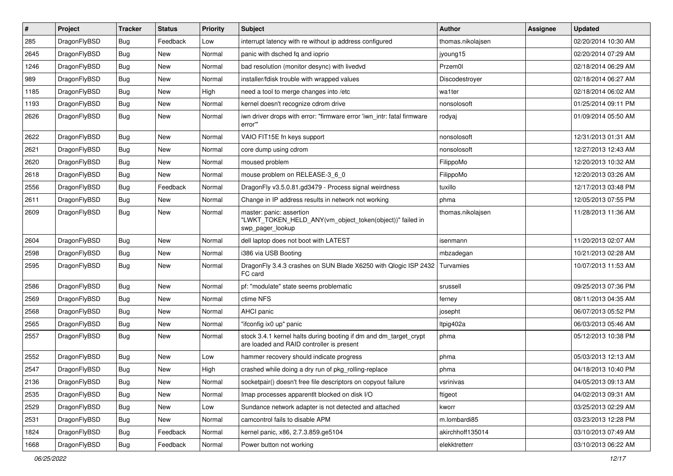| $\#$ | Project      | <b>Tracker</b> | <b>Status</b> | <b>Priority</b> | Subject                                                                                                        | <b>Author</b>     | Assignee | <b>Updated</b>      |
|------|--------------|----------------|---------------|-----------------|----------------------------------------------------------------------------------------------------------------|-------------------|----------|---------------------|
| 285  | DragonFlyBSD | Bug            | Feedback      | Low             | interrupt latency with re without ip address configured                                                        | thomas.nikolajsen |          | 02/20/2014 10:30 AM |
| 2645 | DragonFlyBSD | Bug            | <b>New</b>    | Normal          | panic with dsched fq and ioprio                                                                                | jyoung15          |          | 02/20/2014 07:29 AM |
| 1246 | DragonFlyBSD | Bug            | New           | Normal          | bad resolution (monitor desync) with livedvd                                                                   | Przem0l           |          | 02/18/2014 06:29 AM |
| 989  | DragonFlyBSD | Bug            | <b>New</b>    | Normal          | installer/fdisk trouble with wrapped values                                                                    | Discodestroyer    |          | 02/18/2014 06:27 AM |
| 1185 | DragonFlyBSD | Bug            | <b>New</b>    | High            | need a tool to merge changes into /etc                                                                         | wa1ter            |          | 02/18/2014 06:02 AM |
| 1193 | DragonFlyBSD | Bug            | New           | Normal          | kernel doesn't recognize cdrom drive                                                                           | nonsolosoft       |          | 01/25/2014 09:11 PM |
| 2626 | DragonFlyBSD | Bug            | New           | Normal          | iwn driver drops with error: "firmware error 'iwn_intr: fatal firmware<br>error"                               | rodyaj            |          | 01/09/2014 05:50 AM |
| 2622 | DragonFlyBSD | Bug            | <b>New</b>    | Normal          | VAIO FIT15E fn keys support                                                                                    | nonsolosoft       |          | 12/31/2013 01:31 AM |
| 2621 | DragonFlyBSD | Bug            | New           | Normal          | core dump using cdrom                                                                                          | nonsolosoft       |          | 12/27/2013 12:43 AM |
| 2620 | DragonFlyBSD | Bug            | <b>New</b>    | Normal          | moused problem                                                                                                 | FilippoMo         |          | 12/20/2013 10:32 AM |
| 2618 | DragonFlyBSD | Bug            | New           | Normal          | mouse problem on RELEASE-3_6_0                                                                                 | FilippoMo         |          | 12/20/2013 03:26 AM |
| 2556 | DragonFlyBSD | Bug            | Feedback      | Normal          | DragonFly v3.5.0.81.gd3479 - Process signal weirdness                                                          | tuxillo           |          | 12/17/2013 03:48 PM |
| 2611 | DragonFlyBSD | <b>Bug</b>     | New           | Normal          | Change in IP address results in network not working                                                            | phma              |          | 12/05/2013 07:55 PM |
| 2609 | DragonFlyBSD | Bug            | New           | Normal          | master: panic: assertion<br>"LWKT_TOKEN_HELD_ANY(vm_object_token(object))" failed in<br>swp_pager_lookup       | thomas.nikolajsen |          | 11/28/2013 11:36 AM |
| 2604 | DragonFlyBSD | Bug            | New           | Normal          | dell laptop does not boot with LATEST                                                                          | isenmann          |          | 11/20/2013 02:07 AM |
| 2598 | DragonFlyBSD | <b>Bug</b>     | New           | Normal          | i386 via USB Booting                                                                                           | mbzadegan         |          | 10/21/2013 02:28 AM |
| 2595 | DragonFlyBSD | <b>Bug</b>     | New           | Normal          | DragonFly 3.4.3 crashes on SUN Blade X6250 with Qlogic ISP 2432<br>FC card                                     | Turvamies         |          | 10/07/2013 11:53 AM |
| 2586 | DragonFlyBSD | Bug            | <b>New</b>    | Normal          | pf: "modulate" state seems problematic                                                                         | srussell          |          | 09/25/2013 07:36 PM |
| 2569 | DragonFlyBSD | Bug            | New           | Normal          | ctime NFS                                                                                                      | ferney            |          | 08/11/2013 04:35 AM |
| 2568 | DragonFlyBSD | <b>Bug</b>     | New           | Normal          | AHCI panic                                                                                                     | josepht           |          | 06/07/2013 05:52 PM |
| 2565 | DragonFlyBSD | <b>Bug</b>     | <b>New</b>    | Normal          | "ifconfig ix0 up" panic                                                                                        | ltpig402a         |          | 06/03/2013 05:46 AM |
| 2557 | DragonFlyBSD | <b>Bug</b>     | New           | Normal          | stock 3.4.1 kernel halts during booting if dm and dm_target_crypt<br>are loaded and RAID controller is present | phma              |          | 05/12/2013 10:38 PM |
| 2552 | DragonFlyBSD | Bug            | New           | Low             | hammer recovery should indicate progress                                                                       | phma              |          | 05/03/2013 12:13 AM |
| 2547 | DragonFlyBSD | Bug            | New           | High            | crashed while doing a dry run of pkg_rolling-replace                                                           | phma              |          | 04/18/2013 10:40 PM |
| 2136 | DragonFlyBSD | <b>Bug</b>     | <b>New</b>    | Normal          | socketpair() doesn't free file descriptors on copyout failure                                                  | vsrinivas         |          | 04/05/2013 09:13 AM |
| 2535 | DragonFlyBSD | <b>Bug</b>     | <b>New</b>    | Normal          | Imap processes apparentlt blocked on disk I/O                                                                  | ftigeot           |          | 04/02/2013 09:31 AM |
| 2529 | DragonFlyBSD | <b>Bug</b>     | New           | Low             | Sundance network adapter is not detected and attached                                                          | kworr             |          | 03/25/2013 02:29 AM |
| 2531 | DragonFlyBSD | <b>Bug</b>     | New           | Normal          | camcontrol fails to disable APM                                                                                | m.lombardi85      |          | 03/23/2013 12:28 PM |
| 1824 | DragonFlyBSD | <b>Bug</b>     | Feedback      | Normal          | kernel panic, x86, 2.7.3.859.ge5104                                                                            | akirchhoff135014  |          | 03/10/2013 07:49 AM |
| 1668 | DragonFlyBSD | <b>Bug</b>     | Feedback      | Normal          | Power button not working                                                                                       | elekktretterr     |          | 03/10/2013 06:22 AM |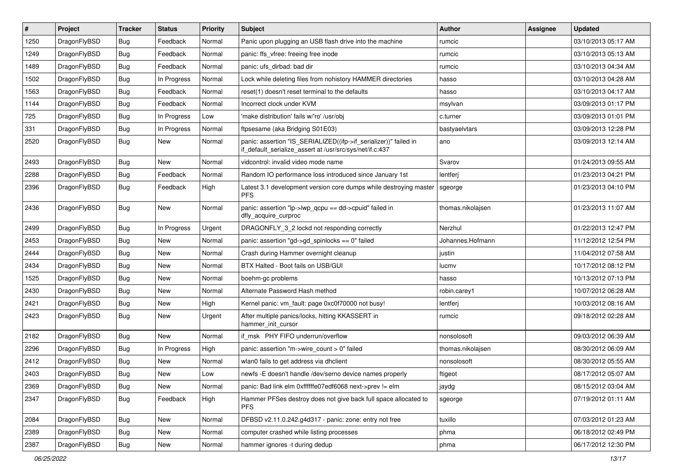| $\vert$ # | Project      | <b>Tracker</b> | <b>Status</b> | <b>Priority</b> | Subject                                                                                                                      | <b>Author</b>     | <b>Assignee</b> | <b>Updated</b>      |
|-----------|--------------|----------------|---------------|-----------------|------------------------------------------------------------------------------------------------------------------------------|-------------------|-----------------|---------------------|
| 1250      | DragonFlyBSD | Bug            | Feedback      | Normal          | Panic upon plugging an USB flash drive into the machine                                                                      | rumcic            |                 | 03/10/2013 05:17 AM |
| 1249      | DragonFlyBSD | Bug            | Feedback      | Normal          | panic: ffs vfree: freeing free inode                                                                                         | rumcic            |                 | 03/10/2013 05:13 AM |
| 1489      | DragonFlyBSD | <b>Bug</b>     | Feedback      | Normal          | panic: ufs dirbad: bad dir                                                                                                   | rumcic            |                 | 03/10/2013 04:34 AM |
| 1502      | DragonFlyBSD | <b>Bug</b>     | In Progress   | Normal          | Lock while deleting files from nohistory HAMMER directories                                                                  | hasso             |                 | 03/10/2013 04:28 AM |
| 1563      | DragonFlyBSD | Bug            | Feedback      | Normal          | reset(1) doesn't reset terminal to the defaults                                                                              | hasso             |                 | 03/10/2013 04:17 AM |
| 1144      | DragonFlyBSD | <b>Bug</b>     | Feedback      | Normal          | Incorrect clock under KVM                                                                                                    | msylvan           |                 | 03/09/2013 01:17 PM |
| 725       | DragonFlyBSD | Bug            | In Progress   | Low             | 'make distribution' fails w/'ro' /usr/obi                                                                                    | c.turner          |                 | 03/09/2013 01:01 PM |
| 331       | DragonFlyBSD | Bug            | In Progress   | Normal          | ftpsesame (aka Bridging S01E03)                                                                                              | bastyaelvtars     |                 | 03/09/2013 12:28 PM |
| 2520      | DragonFlyBSD | Bug            | New           | Normal          | panic: assertion "IS_SERIALIZED((ifp->if_serializer))" failed in<br>if_default_serialize_assert at /usr/src/sys/net/if.c:437 | ano               |                 | 03/09/2013 12:14 AM |
| 2493      | DragonFlyBSD | Bug            | <b>New</b>    | Normal          | vidcontrol: invalid video mode name                                                                                          | Svarov            |                 | 01/24/2013 09:55 AM |
| 2288      | DragonFlyBSD | <b>Bug</b>     | Feedback      | Normal          | Random IO performance loss introduced since January 1st                                                                      | lentferj          |                 | 01/23/2013 04:21 PM |
| 2396      | DragonFlyBSD | Bug            | Feedback      | High            | Latest 3.1 development version core dumps while destroying master<br><b>PFS</b>                                              | sgeorge           |                 | 01/23/2013 04:10 PM |
| 2436      | DragonFlyBSD | Bug            | <b>New</b>    | Normal          | panic: assertion "lp->lwp_qcpu == dd->cpuid" failed in<br>dfly acquire curproc                                               | thomas.nikolajsen |                 | 01/23/2013 11:07 AM |
| 2499      | DragonFlyBSD | Bug            | In Progress   | Urgent          | DRAGONFLY_3_2 lockd not responding correctly                                                                                 | Nerzhul           |                 | 01/22/2013 12:47 PM |
| 2453      | DragonFlyBSD | <b>Bug</b>     | <b>New</b>    | Normal          | panic: assertion "gd->gd spinlocks == $0$ " failed                                                                           | Johannes.Hofmann  |                 | 11/12/2012 12:54 PM |
| 2444      | DragonFlyBSD | <b>Bug</b>     | New           | Normal          | Crash during Hammer overnight cleanup                                                                                        | justin            |                 | 11/04/2012 07:58 AM |
| 2434      | DragonFlyBSD | Bug            | <b>New</b>    | Normal          | BTX Halted - Boot fails on USB/GUI                                                                                           | lucmv             |                 | 10/17/2012 08:12 PM |
| 1525      | DragonFlyBSD | <b>Bug</b>     | <b>New</b>    | Normal          | boehm-gc problems                                                                                                            | hasso             |                 | 10/13/2012 07:13 PM |
| 2430      | DragonFlyBSD | Bug            | New           | Normal          | Alternate Password Hash method                                                                                               | robin.carey1      |                 | 10/07/2012 06:28 AM |
| 2421      | DragonFlyBSD | Bug            | <b>New</b>    | High            | Kernel panic: vm_fault: page 0xc0f70000 not busy!                                                                            | lentferj          |                 | 10/03/2012 08:16 AM |
| 2423      | DragonFlyBSD | Bug            | New           | Urgent          | After multiple panics/locks, hitting KKASSERT in<br>hammer_init_cursor                                                       | rumcic            |                 | 09/18/2012 02:28 AM |
| 2182      | DragonFlyBSD | Bug            | New           | Normal          | if msk PHY FIFO underrun/overflow                                                                                            | nonsolosoft       |                 | 09/03/2012 06:39 AM |
| 2296      | DragonFlyBSD | Bug            | In Progress   | High            | panic: assertion "m->wire count > 0" failed                                                                                  | thomas.nikolajsen |                 | 08/30/2012 06:09 AM |
| 2412      | DragonFlyBSD | Bug            | New           | Normal          | wlan0 fails to get address via dhclient                                                                                      | nonsolosoft       |                 | 08/30/2012 05:55 AM |
| 2403      | DragonFlyBSD | <b>Bug</b>     | New           | Low             | newfs -E doesn't handle /dev/serno device names properly                                                                     | ftigeot           |                 | 08/17/2012 05:07 AM |
| 2369      | DragonFlyBSD | <b>Bug</b>     | New           | Normal          | panic: Bad link elm 0xffffffe07edf6068 next->prev != elm                                                                     | jaydg             |                 | 08/15/2012 03:04 AM |
| 2347      | DragonFlyBSD | <b>Bug</b>     | Feedback      | High            | Hammer PFSes destroy does not give back full space allocated to<br><b>PFS</b>                                                | sgeorge           |                 | 07/19/2012 01:11 AM |
| 2084      | DragonFlyBSD | Bug            | New           | Normal          | DFBSD v2.11.0.242.g4d317 - panic: zone: entry not free                                                                       | tuxillo           |                 | 07/03/2012 01:23 AM |
| 2389      | DragonFlyBSD | Bug            | New           | Normal          | computer crashed while listing processes                                                                                     | phma              |                 | 06/18/2012 02:49 PM |
| 2387      | DragonFlyBSD | Bug            | New           | Normal          | hammer ignores -t during dedup                                                                                               | phma              |                 | 06/17/2012 12:30 PM |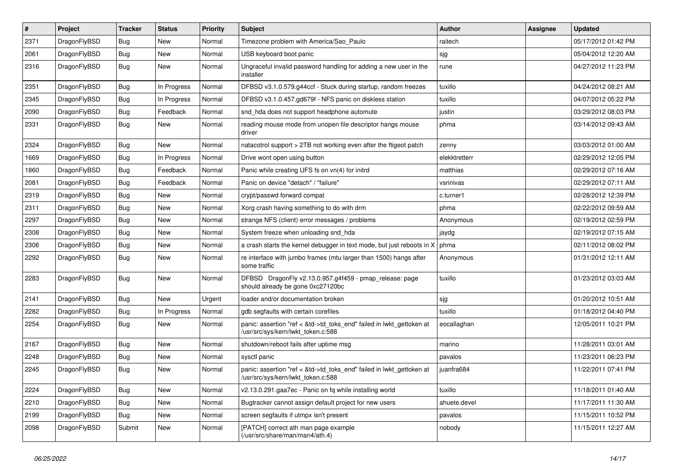| $\sharp$ | Project      | <b>Tracker</b> | <b>Status</b> | <b>Priority</b> | Subject                                                                                                    | Author        | Assignee | <b>Updated</b>      |
|----------|--------------|----------------|---------------|-----------------|------------------------------------------------------------------------------------------------------------|---------------|----------|---------------------|
| 2371     | DragonFlyBSD | <b>Bug</b>     | New           | Normal          | Timezone problem with America/Sao_Paulo                                                                    | raitech       |          | 05/17/2012 01:42 PM |
| 2061     | DragonFlyBSD | Bug            | New           | Normal          | USB keyboard boot panic                                                                                    | sjg           |          | 05/04/2012 12:20 AM |
| 2316     | DragonFlyBSD | <b>Bug</b>     | New           | Normal          | Ungraceful invalid password handling for adding a new user in the<br>installer                             | rune          |          | 04/27/2012 11:23 PM |
| 2351     | DragonFlyBSD | Bug            | In Progress   | Normal          | DFBSD v3.1.0.579.g44ccf - Stuck during startup, random freezes                                             | tuxillo       |          | 04/24/2012 08:21 AM |
| 2345     | DragonFlyBSD | <b>Bug</b>     | In Progress   | Normal          | DFBSD v3.1.0.457.gd679f - NFS panic on diskless station                                                    | tuxillo       |          | 04/07/2012 05:22 PM |
| 2090     | DragonFlyBSD | Bug            | Feedback      | Normal          | snd_hda does not support headphone automute                                                                | justin        |          | 03/29/2012 08:03 PM |
| 2331     | DragonFlyBSD | Bug            | New           | Normal          | reading mouse mode from unopen file descriptor hangs mouse<br>driver                                       | phma          |          | 03/14/2012 09:43 AM |
| 2324     | DragonFlyBSD | Bug            | New           | Normal          | natacotrol support > 2TB not working even after the ftigeot patch                                          | zenny         |          | 03/03/2012 01:00 AM |
| 1669     | DragonFlyBSD | <b>Bug</b>     | In Progress   | Normal          | Drive wont open using button                                                                               | elekktretterr |          | 02/29/2012 12:05 PM |
| 1860     | DragonFlyBSD | <b>Bug</b>     | Feedback      | Normal          | Panic while creating UFS fs on vn(4) for initrd                                                            | matthias      |          | 02/29/2012 07:16 AM |
| 2081     | DragonFlyBSD | Bug            | Feedback      | Normal          | Panic on device "detach" / "failure"                                                                       | vsrinivas     |          | 02/29/2012 07:11 AM |
| 2319     | DragonFlyBSD | <b>Bug</b>     | New           | Normal          | crypt/passwd forward compat                                                                                | c.turner1     |          | 02/28/2012 12:39 PM |
| 2311     | DragonFlyBSD | Bug            | New           | Normal          | Xorg crash having something to do with drm                                                                 | phma          |          | 02/22/2012 09:59 AM |
| 2297     | DragonFlyBSD | <b>Bug</b>     | <b>New</b>    | Normal          | strange NFS (client) error messages / problems                                                             | Anonymous     |          | 02/19/2012 02:59 PM |
| 2308     | DragonFlyBSD | <b>Bug</b>     | New           | Normal          | System freeze when unloading snd_hda                                                                       | jaydg         |          | 02/19/2012 07:15 AM |
| 2306     | DragonFlyBSD | Bug            | New           | Normal          | a crash starts the kernel debugger in text mode, but just reboots in X                                     | phma          |          | 02/11/2012 08:02 PM |
| 2292     | DragonFlyBSD | <b>Bug</b>     | New           | Normal          | re interface with jumbo frames (mtu larger than 1500) hangs after<br>some traffic                          | Anonymous     |          | 01/31/2012 12:11 AM |
| 2283     | DragonFlyBSD | <b>Bug</b>     | <b>New</b>    | Normal          | DFBSD DragonFly v2.13.0.957.g4f459 - pmap_release: page<br>should already be gone 0xc27120bc               | tuxillo       |          | 01/23/2012 03:03 AM |
| 2141     | DragonFlyBSD | Bug            | <b>New</b>    | Urgent          | loader and/or documentation broken                                                                         | sjg           |          | 01/20/2012 10:51 AM |
| 2282     | DragonFlyBSD | <b>Bug</b>     | In Progress   | Normal          | gdb segfaults with certain corefiles                                                                       | tuxillo       |          | 01/18/2012 04:40 PM |
| 2254     | DragonFlyBSD | <b>Bug</b>     | New           | Normal          | panic: assertion "ref < &td->td_toks_end" failed in lwkt_gettoken at<br>/usr/src/sys/kern/lwkt_token.c:588 | eocallaghan   |          | 12/05/2011 10:21 PM |
| 2167     | DragonFlyBSD | <b>Bug</b>     | <b>New</b>    | Normal          | shutdown/reboot fails after uptime msg                                                                     | marino        |          | 11/28/2011 03:01 AM |
| 2248     | DragonFlyBSD | <b>Bug</b>     | New           | Normal          | sysctl panic                                                                                               | pavalos       |          | 11/23/2011 06:23 PM |
| 2245     | DragonFlyBSD | Bug            | New           | Normal          | panic: assertion "ref < &td->td_toks_end" failed in lwkt_gettoken at<br>/usr/src/sys/kern/lwkt_token.c:588 | juanfra684    |          | 11/22/2011 07:41 PM |
| 2224     | DragonFlyBSD | <b>Bug</b>     | New           | Normal          | v2.13.0.291.gaa7ec - Panic on fq while installing world                                                    | tuxillo       |          | 11/18/2011 01:40 AM |
| 2210     | DragonFlyBSD | Bug            | New           | Normal          | Bugtracker cannot assign default project for new users                                                     | ahuete.devel  |          | 11/17/2011 11:30 AM |
| 2199     | DragonFlyBSD | <b>Bug</b>     | <b>New</b>    | Normal          | screen segfaults if utmpx isn't present                                                                    | pavalos       |          | 11/15/2011 10:52 PM |
| 2098     | DragonFlyBSD | Submit         | New           | Normal          | [PATCH] correct ath man page example<br>(/usr/src/share/man/man4/ath.4)                                    | nobody        |          | 11/15/2011 12:27 AM |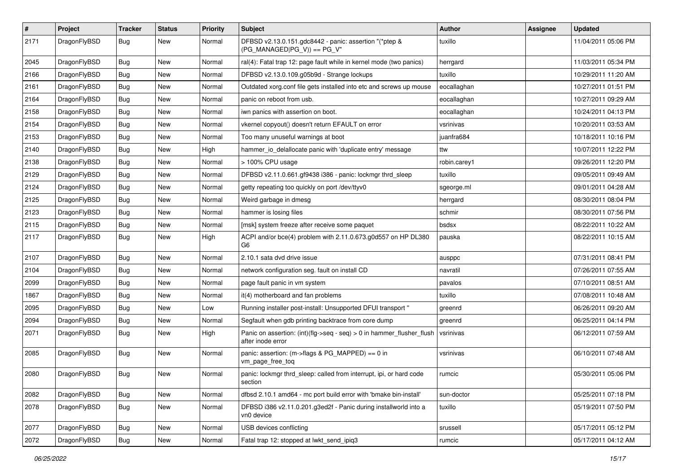| #    | Project      | <b>Tracker</b> | <b>Status</b> | <b>Priority</b> | Subject                                                                                    | Author       | <b>Assignee</b> | <b>Updated</b>      |
|------|--------------|----------------|---------------|-----------------|--------------------------------------------------------------------------------------------|--------------|-----------------|---------------------|
| 2171 | DragonFlyBSD | Bug            | New           | Normal          | DFBSD v2.13.0.151.gdc8442 - panic: assertion "(*ptep &<br>(PG MANAGED PG V)) == PG V"      | tuxillo      |                 | 11/04/2011 05:06 PM |
| 2045 | DragonFlyBSD | <b>Bug</b>     | <b>New</b>    | Normal          | ral(4): Fatal trap 12: page fault while in kernel mode (two panics)                        | herrgard     |                 | 11/03/2011 05:34 PM |
| 2166 | DragonFlyBSD | Bug            | New           | Normal          | DFBSD v2.13.0.109.g05b9d - Strange lockups                                                 | tuxillo      |                 | 10/29/2011 11:20 AM |
| 2161 | DragonFlyBSD | <b>Bug</b>     | New           | Normal          | Outdated xorg.conf file gets installed into etc and screws up mouse                        | eocallaghan  |                 | 10/27/2011 01:51 PM |
| 2164 | DragonFlyBSD | <b>Bug</b>     | New           | Normal          | panic on reboot from usb.                                                                  | eocallaghan  |                 | 10/27/2011 09:29 AM |
| 2158 | DragonFlyBSD | <b>Bug</b>     | <b>New</b>    | Normal          | iwn panics with assertion on boot.                                                         | eocallaghan  |                 | 10/24/2011 04:13 PM |
| 2154 | DragonFlyBSD | <b>Bug</b>     | New           | Normal          | vkernel copyout() doesn't return EFAULT on error                                           | vsrinivas    |                 | 10/20/2011 03:53 AM |
| 2153 | DragonFlyBSD | Bug            | New           | Normal          | Too many unuseful warnings at boot                                                         | juanfra684   |                 | 10/18/2011 10:16 PM |
| 2140 | DragonFlyBSD | Bug            | <b>New</b>    | High            | hammer_io_delallocate panic with 'duplicate entry' message                                 | ttw          |                 | 10/07/2011 12:22 PM |
| 2138 | DragonFlyBSD | <b>Bug</b>     | New           | Normal          | > 100% CPU usage                                                                           | robin.carey1 |                 | 09/26/2011 12:20 PM |
| 2129 | DragonFlyBSD | Bug            | <b>New</b>    | Normal          | DFBSD v2.11.0.661.gf9438 i386 - panic: lockmgr thrd_sleep                                  | tuxillo      |                 | 09/05/2011 09:49 AM |
| 2124 | DragonFlyBSD | Bug            | New           | Normal          | getty repeating too quickly on port /dev/ttyv0                                             | sgeorge.ml   |                 | 09/01/2011 04:28 AM |
| 2125 | DragonFlyBSD | Bug            | <b>New</b>    | Normal          | Weird garbage in dmesg                                                                     | herrgard     |                 | 08/30/2011 08:04 PM |
| 2123 | DragonFlyBSD | Bug            | New           | Normal          | hammer is losing files                                                                     | schmir       |                 | 08/30/2011 07:56 PM |
| 2115 | DragonFlyBSD | <b>Bug</b>     | New           | Normal          | [msk] system freeze after receive some paquet                                              | bsdsx        |                 | 08/22/2011 10:22 AM |
| 2117 | DragonFlyBSD | Bug            | New           | High            | ACPI and/or bce(4) problem with 2.11.0.673.g0d557 on HP DL380<br>G <sub>6</sub>            | pauska       |                 | 08/22/2011 10:15 AM |
| 2107 | DragonFlyBSD | Bug            | New           | Normal          | 2.10.1 sata dvd drive issue                                                                | ausppc       |                 | 07/31/2011 08:41 PM |
| 2104 | DragonFlyBSD | Bug            | <b>New</b>    | Normal          | network configuration seg. fault on install CD                                             | navratil     |                 | 07/26/2011 07:55 AM |
| 2099 | DragonFlyBSD | <b>Bug</b>     | New           | Normal          | page fault panic in vm system                                                              | pavalos      |                 | 07/10/2011 08:51 AM |
| 1867 | DragonFlyBSD | Bug            | New           | Normal          | it(4) motherboard and fan problems                                                         | tuxillo      |                 | 07/08/2011 10:48 AM |
| 2095 | DragonFlyBSD | <b>Bug</b>     | New           | Low             | Running installer post-install: Unsupported DFUI transport "                               | greenrd      |                 | 06/26/2011 09:20 AM |
| 2094 | DragonFlyBSD | <b>Bug</b>     | New           | Normal          | Segfault when gdb printing backtrace from core dump                                        | greenrd      |                 | 06/25/2011 04:14 PM |
| 2071 | DragonFlyBSD | Bug            | New           | High            | Panic on assertion: (int)(flg->seq - seq) > 0 in hammer_flusher_flush<br>after inode error | vsrinivas    |                 | 06/12/2011 07:59 AM |
| 2085 | DragonFlyBSD | Bug            | New           | Normal          | panic: assertion: (m->flags & PG_MAPPED) == 0 in<br>vm_page_free_toq                       | vsrinivas    |                 | 06/10/2011 07:48 AM |
| 2080 | DragonFlyBSD | Bug            | New           | Normal          | panic: lockmgr thrd sleep: called from interrupt, ipi, or hard code<br>section             | rumcic       |                 | 05/30/2011 05:06 PM |
| 2082 | DragonFlyBSD | <b>Bug</b>     | New           | Normal          | dfbsd 2.10.1 amd64 - mc port build error with 'bmake bin-install'                          | sun-doctor   |                 | 05/25/2011 07:18 PM |
| 2078 | DragonFlyBSD | <b>Bug</b>     | New           | Normal          | DFBSD i386 v2.11.0.201.g3ed2f - Panic during installworld into a<br>vn0 device             | tuxillo      |                 | 05/19/2011 07:50 PM |
| 2077 | DragonFlyBSD | <b>Bug</b>     | New           | Normal          | USB devices conflicting                                                                    | srussell     |                 | 05/17/2011 05:12 PM |
| 2072 | DragonFlyBSD | <b>Bug</b>     | New           | Normal          | Fatal trap 12: stopped at lwkt_send_ipiq3                                                  | rumcic       |                 | 05/17/2011 04:12 AM |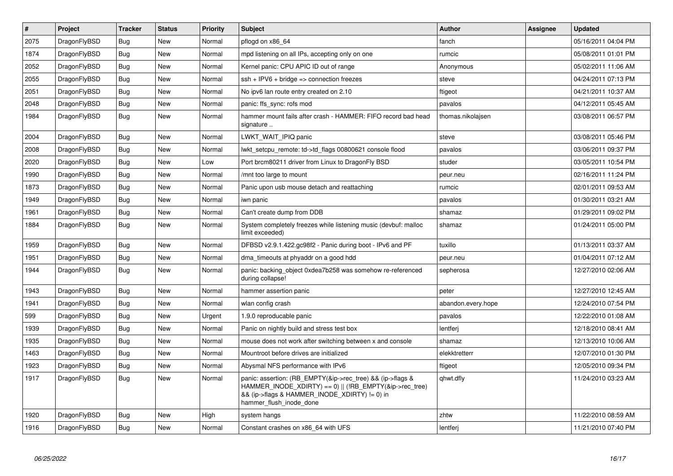| $\vert$ # | Project      | <b>Tracker</b> | <b>Status</b> | Priority | <b>Subject</b>                                                                                                                                                                                    | Author             | Assignee | <b>Updated</b>      |
|-----------|--------------|----------------|---------------|----------|---------------------------------------------------------------------------------------------------------------------------------------------------------------------------------------------------|--------------------|----------|---------------------|
| 2075      | DragonFlyBSD | <b>Bug</b>     | <b>New</b>    | Normal   | pflogd on x86 64                                                                                                                                                                                  | fanch              |          | 05/16/2011 04:04 PM |
| 1874      | DragonFlyBSD | <b>Bug</b>     | <b>New</b>    | Normal   | mpd listening on all IPs, accepting only on one                                                                                                                                                   | rumcic             |          | 05/08/2011 01:01 PM |
| 2052      | DragonFlyBSD | <b>Bug</b>     | <b>New</b>    | Normal   | Kernel panic: CPU APIC ID out of range                                                                                                                                                            | Anonymous          |          | 05/02/2011 11:06 AM |
| 2055      | DragonFlyBSD | Bug            | New           | Normal   | $ssh + IPV6 + bridge \Rightarrow$ connection freezes                                                                                                                                              | steve              |          | 04/24/2011 07:13 PM |
| 2051      | DragonFlyBSD | <b>Bug</b>     | <b>New</b>    | Normal   | No ipv6 lan route entry created on 2.10                                                                                                                                                           | ftigeot            |          | 04/21/2011 10:37 AM |
| 2048      | DragonFlyBSD | Bug            | <b>New</b>    | Normal   | panic: ffs sync: rofs mod                                                                                                                                                                         | pavalos            |          | 04/12/2011 05:45 AM |
| 1984      | DragonFlyBSD | <b>Bug</b>     | <b>New</b>    | Normal   | hammer mount fails after crash - HAMMER: FIFO record bad head<br>signature                                                                                                                        | thomas.nikolajsen  |          | 03/08/2011 06:57 PM |
| 2004      | DragonFlyBSD | <b>Bug</b>     | <b>New</b>    | Normal   | LWKT_WAIT_IPIQ panic                                                                                                                                                                              | steve              |          | 03/08/2011 05:46 PM |
| 2008      | DragonFlyBSD | <b>Bug</b>     | New           | Normal   | lwkt setcpu remote: td->td flags 00800621 console flood                                                                                                                                           | pavalos            |          | 03/06/2011 09:37 PM |
| 2020      | DragonFlyBSD | <b>Bug</b>     | <b>New</b>    | Low      | Port brcm80211 driver from Linux to DragonFly BSD                                                                                                                                                 | studer             |          | 03/05/2011 10:54 PM |
| 1990      | DragonFlyBSD | Bug            | New           | Normal   | /mnt too large to mount                                                                                                                                                                           | peur.neu           |          | 02/16/2011 11:24 PM |
| 1873      | DragonFlyBSD | <b>Bug</b>     | New           | Normal   | Panic upon usb mouse detach and reattaching                                                                                                                                                       | rumcic             |          | 02/01/2011 09:53 AM |
| 1949      | DragonFlyBSD | <b>Bug</b>     | New           | Normal   | iwn panic                                                                                                                                                                                         | pavalos            |          | 01/30/2011 03:21 AM |
| 1961      | DragonFlyBSD | <b>Bug</b>     | New           | Normal   | Can't create dump from DDB                                                                                                                                                                        | shamaz             |          | 01/29/2011 09:02 PM |
| 1884      | DragonFlyBSD | <b>Bug</b>     | New           | Normal   | System completely freezes while listening music (devbuf: malloc<br>limit exceeded)                                                                                                                | shamaz             |          | 01/24/2011 05:00 PM |
| 1959      | DragonFlyBSD | <b>Bug</b>     | New           | Normal   | DFBSD v2.9.1.422.gc98f2 - Panic during boot - IPv6 and PF                                                                                                                                         | tuxillo            |          | 01/13/2011 03:37 AM |
| 1951      | DragonFlyBSD | <b>Bug</b>     | New           | Normal   | dma timeouts at phyaddr on a good hdd                                                                                                                                                             | peur.neu           |          | 01/04/2011 07:12 AM |
| 1944      | DragonFlyBSD | <b>Bug</b>     | New           | Normal   | panic: backing object 0xdea7b258 was somehow re-referenced<br>during collapse!                                                                                                                    | sepherosa          |          | 12/27/2010 02:06 AM |
| 1943      | DragonFlyBSD | <b>Bug</b>     | New           | Normal   | hammer assertion panic                                                                                                                                                                            | peter              |          | 12/27/2010 12:45 AM |
| 1941      | DragonFlyBSD | <b>Bug</b>     | New           | Normal   | wlan config crash                                                                                                                                                                                 | abandon.every.hope |          | 12/24/2010 07:54 PM |
| 599       | DragonFlyBSD | <b>Bug</b>     | New           | Urgent   | 1.9.0 reproducable panic                                                                                                                                                                          | pavalos            |          | 12/22/2010 01:08 AM |
| 1939      | DragonFlyBSD | <b>Bug</b>     | <b>New</b>    | Normal   | Panic on nightly build and stress test box                                                                                                                                                        | lentferi           |          | 12/18/2010 08:41 AM |
| 1935      | DragonFlyBSD | <b>Bug</b>     | <b>New</b>    | Normal   | mouse does not work after switching between x and console                                                                                                                                         | shamaz             |          | 12/13/2010 10:06 AM |
| 1463      | DragonFlyBSD | Bug            | <b>New</b>    | Normal   | Mountroot before drives are initialized                                                                                                                                                           | elekktretterr      |          | 12/07/2010 01:30 PM |
| 1923      | DragonFlyBSD | <b>Bug</b>     | <b>New</b>    | Normal   | Abysmal NFS performance with IPv6                                                                                                                                                                 | ftigeot            |          | 12/05/2010 09:34 PM |
| 1917      | DragonFlyBSD | <b>Bug</b>     | <b>New</b>    | Normal   | panic: assertion: (RB EMPTY(&ip->rec tree) && (ip->flags &<br>HAMMER_INODE_XDIRTY) == 0)    (!RB_EMPTY(&ip->rec_tree)<br>&& (ip->flags & HAMMER_INODE_XDIRTY) != 0) in<br>hammer_flush_inode_done | qhwt.dfly          |          | 11/24/2010 03:23 AM |
| 1920      | DragonFlyBSD | Bug            | New           | High     | system hangs                                                                                                                                                                                      | zhtw               |          | 11/22/2010 08:59 AM |
| 1916      | DragonFlyBSD | Bug            | <b>New</b>    | Normal   | Constant crashes on x86_64 with UFS                                                                                                                                                               | lentferj           |          | 11/21/2010 07:40 PM |